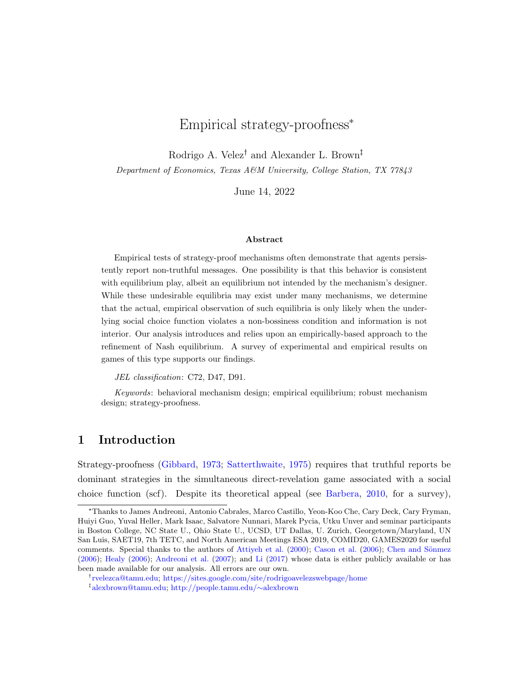# Empirical strategy-proofness\*

Rodrigo A. Velez<sup>†</sup> and Alexander L. Brown<sup>‡</sup>

Department of Economics, Texas A&M University, College Station, TX 77843

June 14, 2022

#### Abstract

Empirical tests of strategy-proof mechanisms often demonstrate that agents persistently report non-truthful messages. One possibility is that this behavior is consistent with equilibrium play, albeit an equilibrium not intended by the mechanism's designer. While these undesirable equilibria may exist under many mechanisms, we determine that the actual, empirical observation of such equilibria is only likely when the underlying social choice function violates a non-bossiness condition and information is not interior. Our analysis introduces and relies upon an empirically-based approach to the refinement of Nash equilibrium. A survey of experimental and empirical results on games of this type supports our findings.

JEL classification: C72, D47, D91.

Keywords: behavioral mechanism design; empirical equilibrium; robust mechanism design; strategy-proofness.

# 1 Introduction

Strategy-proofness [\(Gibbard,](#page-37-0) [1973;](#page-37-0) [Satterthwaite,](#page-39-0) [1975\)](#page-39-0) requires that truthful reports be dominant strategies in the simultaneous direct-revelation game associated with a social choice function (scf). Despite its theoretical appeal (see [Barbera,](#page-35-0) [2010,](#page-35-0) for a survey),

<sup>\*</sup>Thanks to James Andreoni, Antonio Cabrales, Marco Castillo, Yeon-Koo Che, Cary Deck, Cary Fryman, Huiyi Guo, Yuval Heller, Mark Isaac, Salvatore Nunnari, Marek Pycia, Utku Unver and seminar participants in Boston College, NC State U., Ohio State U., UCSD, UT Dallas, U. Zurich, Georgetown/Maryland, UN San Luis, SAET19, 7th TETC, and North American Meetings ESA 2019, COMID20, GAMES2020 for useful comments. Special thanks to the authors of Attiveh et al. [\(2000\)](#page-35-1); [Cason et al.](#page-36-0) [\(2006\)](#page-36-0); Chen and Sönmez [\(2006\)](#page-36-1); [Healy](#page-37-1) [\(2006\)](#page-37-1); [Andreoni et al.](#page-35-2) [\(2007\)](#page-35-2); and [Li](#page-38-0) [\(2017\)](#page-38-0) whose data is either publicly available or has been made available for our analysis. All errors are our own.

[rvelezca@tamu.edu;](mailto:rvelezca@tamu.edu) <https://sites.google.com/site/rodrigoavelezswebpage/home> [alexbrown@tamu.edu;](mailto:alexbrown@tamu.edu) [http://people.tamu.edu/](http://people.tamu.edu/%7Ealexbrown)∼alexbrown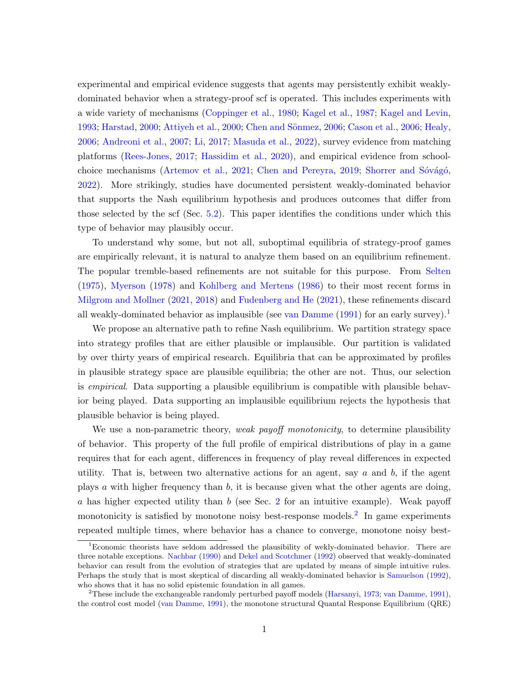experimental and empirical evidence suggests that agents may persistently exhibit weaklydominated behavior when a strategy-proof scf is operated. This includes experiments with a wide variety of mechanisms [\(Coppinger et al.,](#page-36-2) [1980;](#page-36-2) [Kagel et al.,](#page-38-1) [1987;](#page-38-1) [Kagel and Levin,](#page-38-2) [1993;](#page-38-2) [Harstad,](#page-37-2) [2000;](#page-35-1) [Attiyeh et al.,](#page-35-1) 2000; Chen and Sönmez, [2006;](#page-36-0) [Cason et al.,](#page-36-0) 2006; [Healy,](#page-37-1) [2006;](#page-37-1) [Andreoni et al.,](#page-35-2) [2007;](#page-35-2) [Li,](#page-38-0) [2017;](#page-38-0) [Masuda et al.,](#page-38-3) [2022\)](#page-38-3), survey evidence from matching platforms [\(Rees-Jones,](#page-39-1) [2017;](#page-39-1) [Hassidim et al.,](#page-37-3) [2020\)](#page-37-3), and empirical evidence from school-choice mechanisms [\(Artemov et al.,](#page-35-3) [2021;](#page-35-3) [Chen and Pereyra,](#page-36-3) [2019;](#page-36-3) Shorrer and Sóvágó, [2022\)](#page-40-0). More strikingly, studies have documented persistent weakly-dominated behavior that supports the Nash equilibrium hypothesis and produces outcomes that differ from those selected by the scf (Sec. [5.2\)](#page-21-0). This paper identifies the conditions under which this type of behavior may plausibly occur.

To understand why some, but not all, suboptimal equilibria of strategy-proof games are empirically relevant, it is natural to analyze them based on an equilibrium refinement. The popular tremble-based refinements are not suitable for this purpose. From [Selten](#page-39-2) [\(1975\)](#page-39-2), [Myerson](#page-39-3) [\(1978\)](#page-39-3) and [Kohlberg and Mertens](#page-38-4) [\(1986\)](#page-38-4) to their most recent forms in [Milgrom and Mollner](#page-38-5) [\(2021,](#page-38-5) [2018\)](#page-38-6) and [Fudenberg and He](#page-37-4) [\(2021\)](#page-37-4), these refinements discard all weakly-dominated behavior as implausible (see [van Damme](#page-40-1)  $(1991)$  for an early survey).<sup>[1](#page-1-0)</sup>

We propose an alternative path to refine Nash equilibrium. We partition strategy space into strategy profiles that are either plausible or implausible. Our partition is validated by over thirty years of empirical research. Equilibria that can be approximated by profiles in plausible strategy space are plausible equilibria; the other are not. Thus, our selection is empirical. Data supporting a plausible equilibrium is compatible with plausible behavior being played. Data supporting an implausible equilibrium rejects the hypothesis that plausible behavior is being played.

We use a non-parametric theory, weak payoff monotonicity, to determine plausibility of behavior. This property of the full profile of empirical distributions of play in a game requires that for each agent, differences in frequency of play reveal differences in expected utility. That is, between two alternative actions for an agent, say  $a$  and  $b$ , if the agent plays a with higher frequency than b, it is because given what the other agents are doing, a has higher expected utility than b (see Sec. [2](#page-5-0) for an intuitive example). Weak payoff monotonicity is satisfied by monotone noisy best-response models.<sup>[2](#page-1-1)</sup> In game experiments repeated multiple times, where behavior has a chance to converge, monotone noisy best-

<span id="page-1-0"></span><sup>&</sup>lt;sup>1</sup>Economic theorists have seldom addressed the plausibility of wekly-dominated behavior. There are three notable exceptions. [Nachbar](#page-39-4) [\(1990\)](#page-39-4) and [Dekel and Scotchmer](#page-36-4) [\(1992\)](#page-36-4) observed that weakly-dominated behavior can result from the evolution of strategies that are updated by means of simple intuitive rules. Perhaps the study that is most skeptical of discarding all weakly-dominated behavior is [Samuelson](#page-39-5) [\(1992\)](#page-39-5), who shows that it has no solid epistemic foundation in all games.

<span id="page-1-1"></span><sup>&</sup>lt;sup>2</sup>These include the exchangeable randomly perturbed payoff models [\(Harsanyi,](#page-37-5) [1973;](#page-37-5) [van Damme,](#page-40-1) [1991\)](#page-40-1), the control cost model [\(van Damme,](#page-40-1) [1991\)](#page-40-1), the monotone structural Quantal Response Equilibrium (QRE)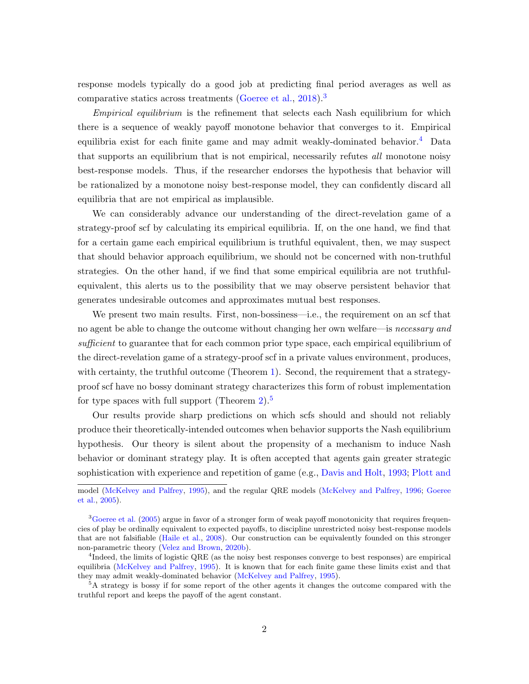response models typically do a good job at predicting final period averages as well as comparative statics across treatments [\(Goeree et al.,](#page-37-6) [2018\)](#page-37-6).<sup>[3](#page-2-0)</sup>

Empirical equilibrium is the refinement that selects each Nash equilibrium for which there is a sequence of weakly payoff monotone behavior that converges to it. Empirical equilibria exist for each finite game and may admit weakly-dominated behavior.<sup>[4](#page-2-1)</sup> Data that supports an equilibrium that is not empirical, necessarily refutes *all* monotone noisy best-response models. Thus, if the researcher endorses the hypothesis that behavior will be rationalized by a monotone noisy best-response model, they can confidently discard all equilibria that are not empirical as implausible.

We can considerably advance our understanding of the direct-revelation game of a strategy-proof scf by calculating its empirical equilibria. If, on the one hand, we find that for a certain game each empirical equilibrium is truthful equivalent, then, we may suspect that should behavior approach equilibrium, we should not be concerned with non-truthful strategies. On the other hand, if we find that some empirical equilibria are not truthfulequivalent, this alerts us to the possibility that we may observe persistent behavior that generates undesirable outcomes and approximates mutual best responses.

We present two main results. First, non-bossines —i.e., the requirement on an scf that no agent be able to change the outcome without changing her own welfare—is necessary and sufficient to guarantee that for each common prior type space, each empirical equilibrium of the direct-revelation game of a strategy-proof scf in a private values environment, produces, with certainty, the truthful outcome (Theorem [1\)](#page-12-0). Second, the requirement that a strategyproof scf have no bossy dominant strategy characterizes this form of robust implementation for type spaces with full support (Theorem [2\)](#page-12-1). $5$ 

Our results provide sharp predictions on which scfs should and should not reliably produce their theoretically-intended outcomes when behavior supports the Nash equilibrium hypothesis. Our theory is silent about the propensity of a mechanism to induce Nash behavior or dominant strategy play. It is often accepted that agents gain greater strategic sophistication with experience and repetition of game (e.g., [Davis and Holt,](#page-36-5) [1993;](#page-36-5) [Plott and](#page-39-6)

model [\(McKelvey and Palfrey,](#page-38-7) [1995\), and the regular QRE models \(McKelvey and Palfrey,](#page-39-6) [1996;](#page-38-8) [Goeree](#page-37-7) [et al.,](#page-37-7) [2005\).](#page-39-6)

<span id="page-2-0"></span><sup>&</sup>lt;sup>[3](#page-39-6)</sup>[Goeree et al.](#page-37-7) [\(2005\) argue in favor of a stronger form of weak payoff monotonicity that requires frequen](#page-39-6)[cies of play be ordinally equivalent to expected payoffs, to discipline unrestricted noisy best-response models](#page-39-6) that are not falsifiable [\(Haile et al.,](#page-37-8) [2008\). Our construction can be equivalently founded on this stronger](#page-39-6) [non-parametric theory \(Velez and Brown,](#page-39-6) [2020b\)](#page-40-2).

<span id="page-2-1"></span><sup>4</sup> [Indeed, the limits of logistic QRE \(as the noisy best responses converge to best responses\) are empirical](#page-39-6) equilibria [\(McKelvey and Palfrey,](#page-38-7) [1995\). It is known that for each finite game these limits exist and that](#page-39-6) [they may admit weakly-dominated behavior \(McKelvey and Palfrey,](#page-39-6) [1995\)](#page-38-7).

<span id="page-2-2"></span><sup>&</sup>lt;sup>5</sup>[A strategy is bossy if for some report of the other agents it changes the outcome compared with the](#page-39-6) [truthful report and keeps the payoff of the agent constant.](#page-39-6)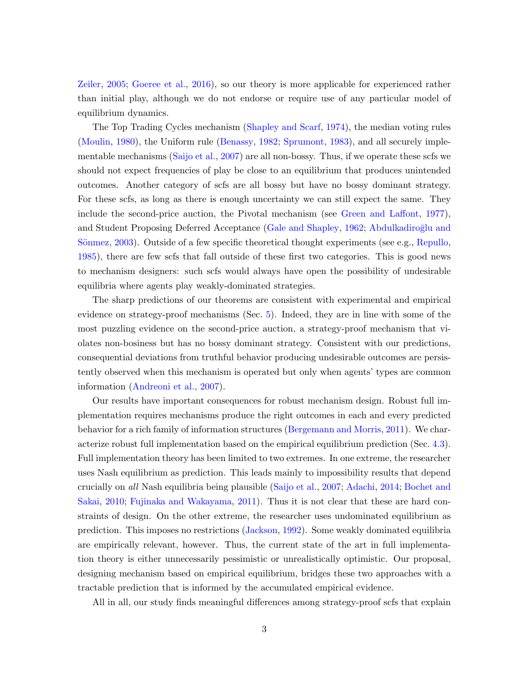[Zeiler,](#page-39-6) [2005;](#page-39-6) [Goeree et al.,](#page-37-9) [2016\)](#page-37-9), so our theory is more applicable for experienced rather than initial play, although we do not endorse or require use of any particular model of equilibrium dynamics.

The Top Trading Cycles mechanism [\(Shapley and Scarf,](#page-39-7) [1974\)](#page-39-7), the median voting rules [\(Moulin,](#page-39-8) [1980\)](#page-39-8), the Uniform rule [\(Benassy,](#page-35-4) [1982;](#page-35-4) [Sprumont,](#page-40-3) [1983\)](#page-40-3), and all securely implementable mechanisms [\(Saijo et al.,](#page-39-9) [2007\)](#page-39-9) are all non-bossy. Thus, if we operate these scfs we should not expect frequencies of play be close to an equilibrium that produces unintended outcomes. Another category of scfs are all bossy but have no bossy dominant strategy. For these scfs, as long as there is enough uncertainty we can still expect the same. They include the second-price auction, the Pivotal mechanism (see [Green and Laffont,](#page-37-10) [1977\)](#page-37-10), and Student Proposing Deferred Acceptance [\(Gale and Shapley,](#page-37-11) [1962;](#page-37-11) Abdulkadiroğlu and Sönmez,  $2003$ ). Outside of a few specific theoretical thought experiments (see e.g., [Repullo,](#page-39-10) [1985\)](#page-39-10), there are few scfs that fall outside of these first two categories. This is good news to mechanism designers: such scfs would always have open the possibility of undesirable equilibria where agents play weakly-dominated strategies.

The sharp predictions of our theorems are consistent with experimental and empirical evidence on strategy-proof mechanisms (Sec. [5\)](#page-19-0). Indeed, they are in line with some of the most puzzling evidence on the second-price auction, a strategy-proof mechanism that violates non-bosiness but has no bossy dominant strategy. Consistent with our predictions, consequential deviations from truthful behavior producing undesirable outcomes are persistently observed when this mechanism is operated but only when agents' types are common information [\(Andreoni et al.,](#page-35-2) [2007\)](#page-35-2).

Our results have important consequences for robust mechanism design. Robust full implementation requires mechanisms produce the right outcomes in each and every predicted behavior for a rich family of information structures [\(Bergemann and Morris,](#page-35-6) [2011\)](#page-35-6). We characterize robust full implementation based on the empirical equilibrium prediction (Sec. [4.3\)](#page-16-0). Full implementation theory has been limited to two extremes. In one extreme, the researcher uses Nash equilibrium as prediction. This leads mainly to impossibility results that depend crucially on all Nash equilibria being plausible [\(Saijo et al.,](#page-39-9) [2007;](#page-39-9) [Adachi,](#page-35-7) [2014;](#page-35-7) [Bochet and](#page-36-6) [Sakai,](#page-36-6) [2010;](#page-36-6) [Fujinaka and Wakayama,](#page-37-12) [2011\)](#page-37-12). Thus it is not clear that these are hard constraints of design. On the other extreme, the researcher uses undominated equilibrium as prediction. This imposes no restrictions [\(Jackson,](#page-38-9) [1992\)](#page-38-9). Some weakly dominated equilibria are empirically relevant, however. Thus, the current state of the art in full implementation theory is either unnecessarily pessimistic or unrealistically optimistic. Our proposal, designing mechanism based on empirical equilibrium, bridges these two approaches with a tractable prediction that is informed by the accumulated empirical evidence.

All in all, our study finds meaningful differences among strategy-proof scfs that explain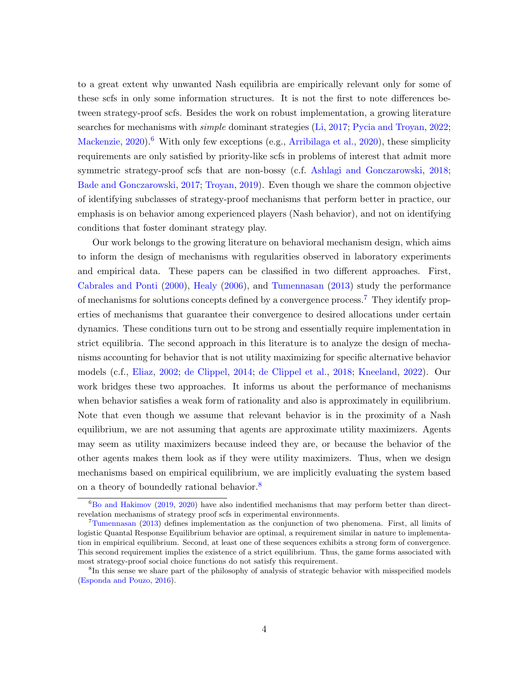to a great extent why unwanted Nash equilibria are empirically relevant only for some of these scfs in only some information structures. It is not the first to note differences between strategy-proof scfs. Besides the work on robust implementation, a growing literature searches for mechanisms with *simple* dominant strategies [\(Li,](#page-38-0) [2017;](#page-38-0) [Pycia and Troyan,](#page-39-11) [2022;](#page-39-11) [Mackenzie,](#page-38-10)  $2020$ .<sup>6</sup> With only few exceptions (e.g., Arribilaga et al., [2020\)](#page-35-8), these simplicity requirements are only satisfied by priority-like scfs in problems of interest that admit more symmetric strategy-proof scfs that are non-bossy (c.f. [Ashlagi and Gonczarowski,](#page-35-9) [2018;](#page-35-9) [Bade and Gonczarowski,](#page-35-10) [2017;](#page-35-10) [Troyan,](#page-40-4) [2019\)](#page-40-4). Even though we share the common objective of identifying subclasses of strategy-proof mechanisms that perform better in practice, our emphasis is on behavior among experienced players (Nash behavior), and not on identifying conditions that foster dominant strategy play.

Our work belongs to the growing literature on behavioral mechanism design, which aims to inform the design of mechanisms with regularities observed in laboratory experiments and empirical data. These papers can be classified in two different approaches. First, [Cabrales and Ponti](#page-36-7) [\(2000\)](#page-36-7), [Healy](#page-37-1) [\(2006\)](#page-37-1), and [Tumennasan](#page-40-5) [\(2013\)](#page-40-5) study the performance of mechanisms for solutions concepts defined by a convergence process.<sup>[7](#page-4-1)</sup> They identify properties of mechanisms that guarantee their convergence to desired allocations under certain dynamics. These conditions turn out to be strong and essentially require implementation in strict equilibria. The second approach in this literature is to analyze the design of mechanisms accounting for behavior that is not utility maximizing for specific alternative behavior models (c.f., [Eliaz,](#page-36-8) [2002;](#page-36-8) [de Clippel,](#page-36-9) [2014;](#page-36-9) [de Clippel et al.,](#page-36-10) [2018;](#page-36-10) [Kneeland,](#page-38-11) [2022\)](#page-38-11). Our work bridges these two approaches. It informs us about the performance of mechanisms when behavior satisfies a weak form of rationality and also is approximately in equilibrium. Note that even though we assume that relevant behavior is in the proximity of a Nash equilibrium, we are not assuming that agents are approximate utility maximizers. Agents may seem as utility maximizers because indeed they are, or because the behavior of the other agents makes them look as if they were utility maximizers. Thus, when we design mechanisms based on empirical equilibrium, we are implicitly evaluating the system based on a theory of boundedly rational behavior.<sup>[8](#page-4-2)</sup>

<span id="page-4-0"></span> ${}^{6}$ [Bo and Hakimov](#page-35-11) [\(2019,](#page-35-11) [2020\)](#page-35-12) have also indentified mechanisms that may perform better than directrevelation mechanisms of strategy proof scfs in experimental environments.

<span id="page-4-1"></span> $7$ [Tumennasan](#page-40-5) [\(2013\)](#page-40-5) defines implementation as the conjunction of two phenomena. First, all limits of logistic Quantal Response Equilibrium behavior are optimal, a requirement similar in nature to implementation in empirical equilibrium. Second, at least one of these sequences exhibits a strong form of convergence. This second requirement implies the existence of a strict equilibrium. Thus, the game forms associated with most strategy-proof social choice functions do not satisfy this requirement.

<span id="page-4-2"></span><sup>8</sup> In this sense we share part of the philosophy of analysis of strategic behavior with misspecified models [\(Esponda and Pouzo,](#page-36-11) [2016\)](#page-36-11).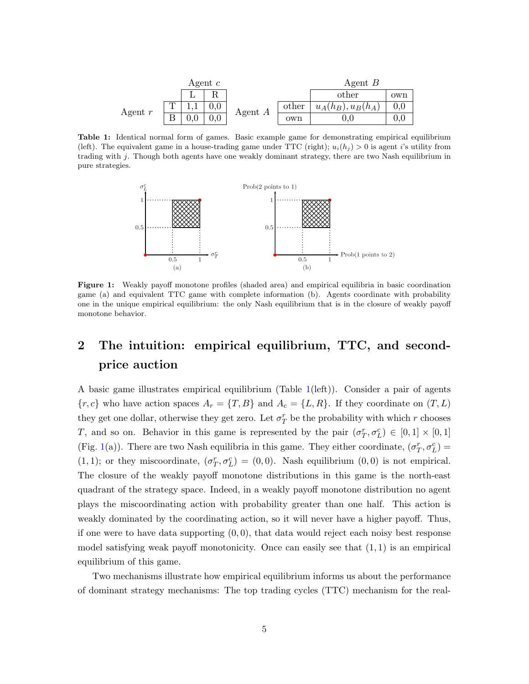<span id="page-5-1"></span>

|           |    | Agent $c$ |           |       | Agent $B$            |     |  |  |
|-----------|----|-----------|-----------|-------|----------------------|-----|--|--|
|           |    |           |           |       | other                | own |  |  |
|           |    |           |           | other | $u_A(h_B), u_B(h_A)$ |     |  |  |
| Agent $r$ | רד |           | Agent $A$ | own   | U.U                  |     |  |  |

<span id="page-5-2"></span>Table 1: Identical normal form of games. Basic example game for demonstrating empirical equilibrium (left). The equivalent game in a house-trading game under TTC (right);  $u_i(h_j) > 0$  is agent i's utility from trading with j. Though both agents have one weakly dominant strategy, there are two Nash equilibrium in pure strategies.



Figure 1: Weakly payoff monotone profiles (shaded area) and empirical equilibria in basic coordination game (a) and equivalent TTC game with complete information (b). Agents coordinate with probability one in the unique empirical equilibrium: the only Nash equilibrium that is in the closure of weakly payoff monotone behavior.

# <span id="page-5-0"></span>2 The intuition: empirical equilibrium, TTC, and secondprice auction

A basic game illustrates empirical equilibrium (Table [1\(](#page-5-1)left)). Consider a pair of agents  ${r, c}$  who have action spaces  $A_r = {T, B}$  and  $A_c = {L, R}$ . If they coordinate on  $(T, L)$ they get one dollar, otherwise they get zero. Let  $\sigma_T^r$  be the probability with which r chooses T, and so on. Behavior in this game is represented by the pair  $(\sigma_T^r, \sigma_L^c) \in [0,1] \times [0,1]$ (Fig. [1\(](#page-5-2)a)). There are two Nash equilibria in this game. They either coordinate,  $(\sigma_T^r, \sigma_L^c)$  = (1, 1); or they miscoordinate,  $(\sigma_T^r, \sigma_L^c) = (0, 0)$ . Nash equilibrium  $(0, 0)$  is not empirical. The closure of the weakly payoff monotone distributions in this game is the north-east quadrant of the strategy space. Indeed, in a weakly payoff monotone distribution no agent plays the miscoordinating action with probability greater than one half. This action is weakly dominated by the coordinating action, so it will never have a higher payoff. Thus, if one were to have data supporting  $(0, 0)$ , that data would reject each noisy best response model satisfying weak payoff monotonicity. Once can easily see that  $(1, 1)$  is an empirical equilibrium of this game.

Two mechanisms illustrate how empirical equilibrium informs us about the performance of dominant strategy mechanisms: The top trading cycles (TTC) mechanism for the real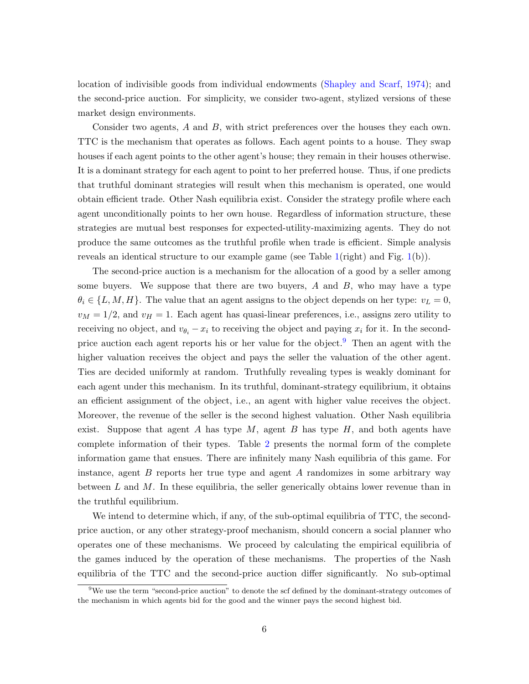location of indivisible goods from individual endowments [\(Shapley and Scarf,](#page-39-7) [1974\)](#page-39-7); and the second-price auction. For simplicity, we consider two-agent, stylized versions of these market design environments.

Consider two agents, A and B, with strict preferences over the houses they each own. TTC is the mechanism that operates as follows. Each agent points to a house. They swap houses if each agent points to the other agent's house; they remain in their houses otherwise. It is a dominant strategy for each agent to point to her preferred house. Thus, if one predicts that truthful dominant strategies will result when this mechanism is operated, one would obtain efficient trade. Other Nash equilibria exist. Consider the strategy profile where each agent unconditionally points to her own house. Regardless of information structure, these strategies are mutual best responses for expected-utility-maximizing agents. They do not produce the same outcomes as the truthful profile when trade is efficient. Simple analysis reveals an identical structure to our example game (see Table [1\(](#page-5-1)right) and Fig. [1\(](#page-5-2)b)).

The second-price auction is a mechanism for the allocation of a good by a seller among some buyers. We suppose that there are two buyers,  $A$  and  $B$ , who may have a type  $\theta_i \in \{L, M, H\}$ . The value that an agent assigns to the object depends on her type:  $v_L = 0$ ,  $v_M = 1/2$ , and  $v_H = 1$ . Each agent has quasi-linear preferences, i.e., assigns zero utility to receiving no object, and  $v_{\theta_i} - x_i$  to receiving the object and paying  $x_i$  for it. In the second-price auction each agent reports his or her value for the object.<sup>[9](#page-6-0)</sup> Then an agent with the higher valuation receives the object and pays the seller the valuation of the other agent. Ties are decided uniformly at random. Truthfully revealing types is weakly dominant for each agent under this mechanism. In its truthful, dominant-strategy equilibrium, it obtains an efficient assignment of the object, i.e., an agent with higher value receives the object. Moreover, the revenue of the seller is the second highest valuation. Other Nash equilibria exist. Suppose that agent A has type  $M$ , agent B has type  $H$ , and both agents have complete information of their types. Table [2](#page-7-0) presents the normal form of the complete information game that ensues. There are infinitely many Nash equilibria of this game. For instance, agent B reports her true type and agent A randomizes in some arbitrary way between  $L$  and  $M$ . In these equilibria, the seller generically obtains lower revenue than in the truthful equilibrium.

We intend to determine which, if any, of the sub-optimal equilibria of TTC, the secondprice auction, or any other strategy-proof mechanism, should concern a social planner who operates one of these mechanisms. We proceed by calculating the empirical equilibria of the games induced by the operation of these mechanisms. The properties of the Nash equilibria of the TTC and the second-price auction differ significantly. No sub-optimal

<span id="page-6-0"></span> $9\text{We use the term "second-price auction" to denote the soft defined by the dominant-strategy outcomes of the second-price question.}$ the mechanism in which agents bid for the good and the winner pays the second highest bid.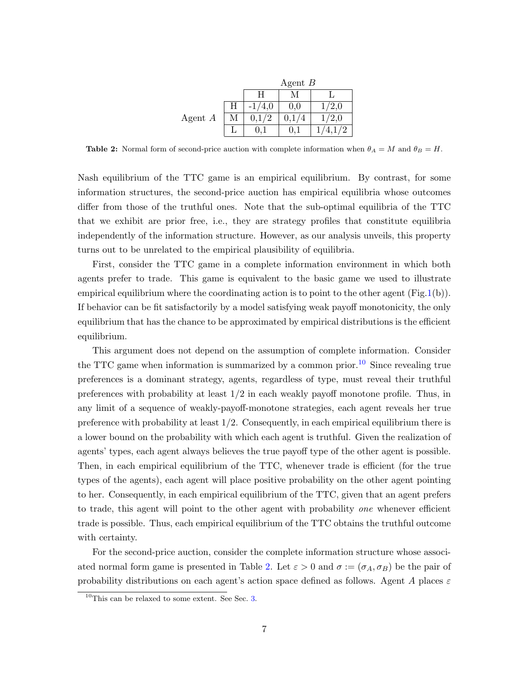|           |   | Agent $B$ |     |       |  |  |  |  |  |  |
|-----------|---|-----------|-----|-------|--|--|--|--|--|--|
|           |   |           |     |       |  |  |  |  |  |  |
|           | Η | /4,0      | 0,0 | /2,0  |  |  |  |  |  |  |
| Agent $A$ | М | 0,1/2     |     | 1/2,0 |  |  |  |  |  |  |
|           |   |           |     |       |  |  |  |  |  |  |

<span id="page-7-0"></span>Table 2: Normal form of second-price auction with complete information when  $\theta_A = M$  and  $\theta_B = H$ .

Nash equilibrium of the TTC game is an empirical equilibrium. By contrast, for some information structures, the second-price auction has empirical equilibria whose outcomes differ from those of the truthful ones. Note that the sub-optimal equilibria of the TTC that we exhibit are prior free, i.e., they are strategy profiles that constitute equilibria independently of the information structure. However, as our analysis unveils, this property turns out to be unrelated to the empirical plausibility of equilibria.

First, consider the TTC game in a complete information environment in which both agents prefer to trade. This game is equivalent to the basic game we used to illustrate empirical equilibrium where the coordinating action is to point to the other agent  $(Fig.1(b))$  $(Fig.1(b))$  $(Fig.1(b))$ . If behavior can be fit satisfactorily by a model satisfying weak payoff monotonicity, the only equilibrium that has the chance to be approximated by empirical distributions is the efficient equilibrium.

This argument does not depend on the assumption of complete information. Consider the TTC game when information is summarized by a common prior.<sup>[10](#page-7-1)</sup> Since revealing true preferences is a dominant strategy, agents, regardless of type, must reveal their truthful preferences with probability at least 1/2 in each weakly payoff monotone profile. Thus, in any limit of a sequence of weakly-payoff-monotone strategies, each agent reveals her true preference with probability at least 1/2. Consequently, in each empirical equilibrium there is a lower bound on the probability with which each agent is truthful. Given the realization of agents' types, each agent always believes the true payoff type of the other agent is possible. Then, in each empirical equilibrium of the TTC, whenever trade is efficient (for the true types of the agents), each agent will place positive probability on the other agent pointing to her. Consequently, in each empirical equilibrium of the TTC, given that an agent prefers to trade, this agent will point to the other agent with probability one whenever efficient trade is possible. Thus, each empirical equilibrium of the TTC obtains the truthful outcome with certainty.

For the second-price auction, consider the complete information structure whose associ-ated normal form game is presented in Table [2.](#page-7-0) Let  $\varepsilon > 0$  and  $\sigma := (\sigma_A, \sigma_B)$  be the pair of probability distributions on each agent's action space defined as follows. Agent A places  $\varepsilon$ 

<span id="page-7-1"></span> $10$ This can be relaxed to some extent. See Sec. [3.](#page-9-0)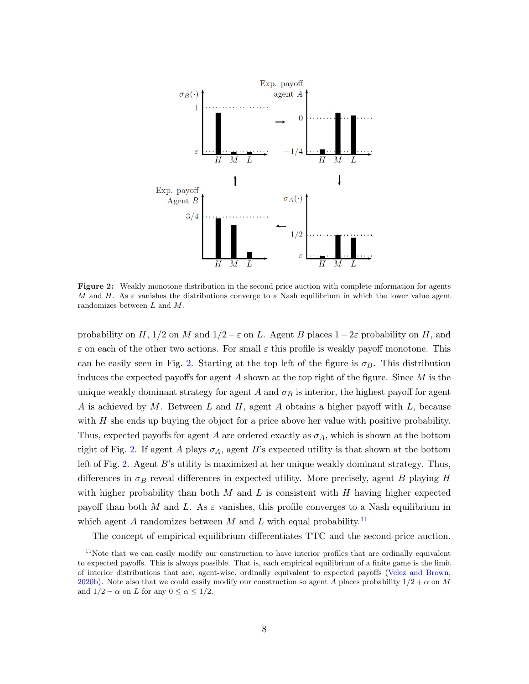<span id="page-8-0"></span>

Figure 2: Weakly monotone distribution in the second price auction with complete information for agents M and H. As  $\varepsilon$  vanishes the distributions converge to a Nash equilibrium in which the lower value agent randomizes between L and M.

probability on H, 1/2 on M and  $1/2 - \varepsilon$  on L. Agent B places  $1-2\varepsilon$  probability on H, and  $\varepsilon$  on each of the other two actions. For small  $\varepsilon$  this profile is weakly payoff monotone. This can be easily seen in Fig. [2.](#page-8-0) Starting at the top left of the figure is  $\sigma_B$ . This distribution induces the expected payoffs for agent A shown at the top right of the figure. Since  $M$  is the unique weakly dominant strategy for agent A and  $\sigma_B$  is interior, the highest payoff for agent A is achieved by M. Between L and H, agent A obtains a higher payoff with  $L$ , because with  $H$  she ends up buying the object for a price above her value with positive probability. Thus, expected payoffs for agent A are ordered exactly as  $\sigma_A$ , which is shown at the bottom right of Fig. [2.](#page-8-0) If agent A plays  $\sigma_A$ , agent B's expected utility is that shown at the bottom left of Fig. [2.](#page-8-0) Agent B's utility is maximized at her unique weakly dominant strategy. Thus, differences in  $\sigma_B$  reveal differences in expected utility. More precisely, agent B playing H with higher probability than both  $M$  and  $L$  is consistent with  $H$  having higher expected payoff than both M and L. As  $\varepsilon$  vanishes, this profile converges to a Nash equilibrium in which agent A randomizes between M and L with equal probability.<sup>[11](#page-8-1)</sup>

The concept of empirical equilibrium differentiates TTC and the second-price auction.

<span id="page-8-1"></span><sup>&</sup>lt;sup>11</sup>Note that we can easily modify our construction to have interior profiles that are ordinally equivalent to expected payoffs. This is always possible. That is, each empirical equilibrium of a finite game is the limit of interior distributions that are, agent-wise, ordinally equivalent to expected payoffs [\(Velez and Brown,](#page-40-2) [2020b\)](#page-40-2). Note also that we could easily modify our construction so agent A places probability  $1/2 + \alpha$  on M and  $1/2 - \alpha$  on L for any  $0 \leq \alpha \leq 1/2$ .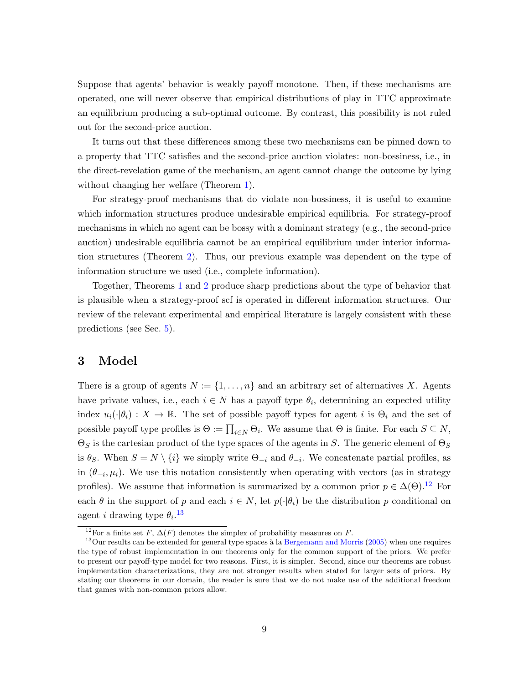Suppose that agents' behavior is weakly payoff monotone. Then, if these mechanisms are operated, one will never observe that empirical distributions of play in TTC approximate an equilibrium producing a sub-optimal outcome. By contrast, this possibility is not ruled out for the second-price auction.

It turns out that these differences among these two mechanisms can be pinned down to a property that TTC satisfies and the second-price auction violates: non-bossiness, i.e., in the direct-revelation game of the mechanism, an agent cannot change the outcome by lying without changing her welfare (Theorem [1\)](#page-12-0).

For strategy-proof mechanisms that do violate non-bossiness, it is useful to examine which information structures produce undesirable empirical equilibria. For strategy-proof mechanisms in which no agent can be bossy with a dominant strategy (e.g., the second-price auction) undesirable equilibria cannot be an empirical equilibrium under interior information structures (Theorem [2\)](#page-12-1). Thus, our previous example was dependent on the type of information structure we used (i.e., complete information).

Together, Theorems [1](#page-12-0) and [2](#page-12-1) produce sharp predictions about the type of behavior that is plausible when a strategy-proof scf is operated in different information structures. Our review of the relevant experimental and empirical literature is largely consistent with these predictions (see Sec. [5\)](#page-19-0).

# <span id="page-9-0"></span>3 Model

There is a group of agents  $N := \{1, \ldots, n\}$  and an arbitrary set of alternatives X. Agents have private values, i.e., each  $i \in N$  has a payoff type  $\theta_i$ , determining an expected utility index  $u_i(\cdot|\theta_i): X \to \mathbb{R}$ . The set of possible payoff types for agent i is  $\Theta_i$  and the set of possible payoff type profiles is  $\Theta := \prod_{i \in N} \Theta_i$ . We assume that  $\Theta$  is finite. For each  $S \subseteq N$ ,  $\Theta_S$  is the cartesian product of the type spaces of the agents in S. The generic element of  $\Theta_S$ is  $\theta_S$ . When  $S = N \setminus \{i\}$  we simply write  $\Theta_{-i}$  and  $\theta_{-i}$ . We concatenate partial profiles, as in  $(\theta_{-i}, \mu_i)$ . We use this notation consistently when operating with vectors (as in strategy profiles). We assume that information is summarized by a common prior  $p \in \Delta(\Theta)$ .<sup>[12](#page-9-1)</sup> For each  $\theta$  in the support of p and each  $i \in N$ , let  $p(\cdot|\theta_i)$  be the distribution p conditional on agent *i* drawing type  $\theta_i$ .<sup>[13](#page-9-2)</sup>

<span id="page-9-2"></span><span id="page-9-1"></span><sup>&</sup>lt;sup>12</sup>For a finite set F,  $\Delta(F)$  denotes the simplex of probability measures on F.

 $13$ Our results can be extended for general type spaces à la [Bergemann and Morris](#page-35-13) [\(2005\)](#page-35-13) when one requires the type of robust implementation in our theorems only for the common support of the priors. We prefer to present our payoff-type model for two reasons. First, it is simpler. Second, since our theorems are robust implementation characterizations, they are not stronger results when stated for larger sets of priors. By stating our theorems in our domain, the reader is sure that we do not make use of the additional freedom that games with non-common priors allow.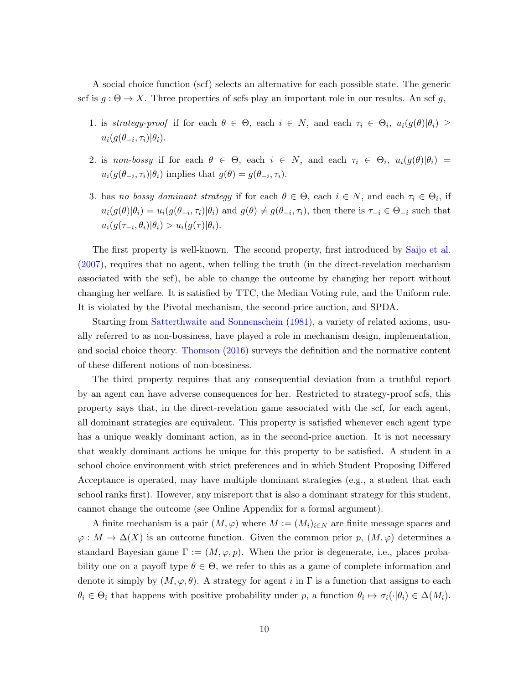A social choice function (scf) selects an alternative for each possible state. The generic scf is  $g : \Theta \to X$ . Three properties of scfs play an important role in our results. An scf g,

- 1. is strategy-proof if for each  $\theta \in \Theta$ , each  $i \in N$ , and each  $\tau_i \in \Theta_i$ ,  $u_i(g(\theta)|\theta_i) \geq$  $u_i(g(\theta_{-i}, \tau_i)|\theta_i).$
- 2. is non-bossy if for each  $\theta \in \Theta$ , each  $i \in N$ , and each  $\tau_i \in \Theta_i$ ,  $u_i(g(\theta)|\theta_i) =$  $u_i(g(\theta_{-i}, \tau_i)|\theta_i)$  implies that  $g(\theta) = g(\theta_{-i}, \tau_i)$ .
- 3. has no bossy dominant strategy if for each  $\theta \in \Theta$ , each  $i \in N$ , and each  $\tau_i \in \Theta_i$ , if  $u_i(g(\theta)|\theta_i) = u_i(g(\theta_{-i}, \tau_i)|\theta_i)$  and  $g(\theta) \neq g(\theta_{-i}, \tau_i)$ , then there is  $\tau_{-i} \in \Theta_{-i}$  such that  $u_i(g(\tau_{-i},\theta_i)|\theta_i) > u_i(g(\tau)|\theta_i).$

The first property is well-known. The second property, first introduced by [Saijo et al.](#page-39-9) [\(2007\)](#page-39-9), requires that no agent, when telling the truth (in the direct-revelation mechanism associated with the scf), be able to change the outcome by changing her report without changing her welfare. It is satisfied by TTC, the Median Voting rule, and the Uniform rule. It is violated by the Pivotal mechanism, the second-price auction, and SPDA.

Starting from [Satterthwaite and Sonnenschein](#page-39-12) [\(1981\)](#page-39-12), a variety of related axioms, usually referred to as non-bossiness, have played a role in mechanism design, implementation, and social choice theory. [Thomson](#page-40-6) [\(2016\)](#page-40-6) surveys the definition and the normative content of these different notions of non-bossiness.

The third property requires that any consequential deviation from a truthful report by an agent can have adverse consequences for her. Restricted to strategy-proof scfs, this property says that, in the direct-revelation game associated with the scf, for each agent, all dominant strategies are equivalent. This property is satisfied whenever each agent type has a unique weakly dominant action, as in the second-price auction. It is not necessary that weakly dominant actions be unique for this property to be satisfied. A student in a school choice environment with strict preferences and in which Student Proposing Differed Acceptance is operated, may have multiple dominant strategies (e.g., a student that each school ranks first). However, any misreport that is also a dominant strategy for this student, cannot change the outcome (see Online Appendix for a formal argument).

A finite mechanism is a pair  $(M, \varphi)$  where  $M := (M_i)_{i \in N}$  are finite message spaces and  $\varphi: M \to \Delta(X)$  is an outcome function. Given the common prior p,  $(M, \varphi)$  determines a standard Bayesian game  $\Gamma := (M, \varphi, p)$ . When the prior is degenerate, i.e., places probability one on a payoff type  $\theta \in \Theta$ , we refer to this as a game of complete information and denote it simply by  $(M, \varphi, \theta)$ . A strategy for agent i in  $\Gamma$  is a function that assigns to each  $\theta_i \in \Theta_i$  that happens with positive probability under p, a function  $\theta_i \mapsto \sigma_i(\cdot | \theta_i) \in \Delta(M_i)$ .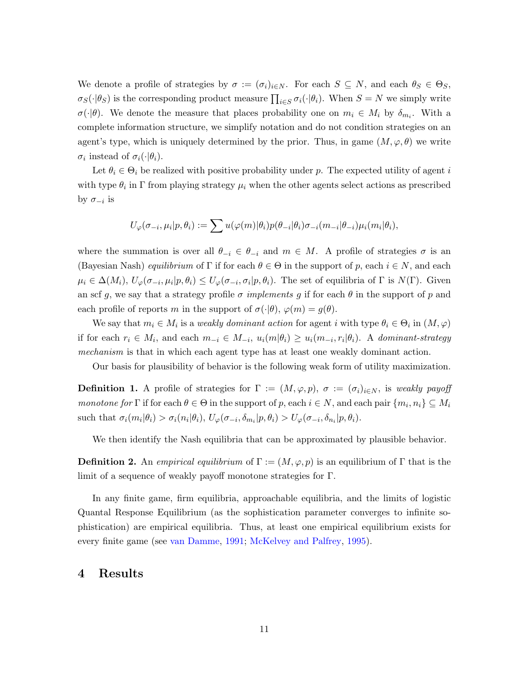We denote a profile of strategies by  $\sigma := (\sigma_i)_{i \in N}$ . For each  $S \subseteq N$ , and each  $\theta_S \in \Theta_S$ ,  $\sigma_S(\cdot|\theta_S)$  is the corresponding product measure  $\prod_{i\in S}\sigma_i(\cdot|\theta_i)$ . When  $S = N$  we simply write  $\sigma(\cdot|\theta)$ . We denote the measure that places probability one on  $m_i \in M_i$  by  $\delta_{m_i}$ . With a complete information structure, we simplify notation and do not condition strategies on an agent's type, which is uniquely determined by the prior. Thus, in game  $(M, \varphi, \theta)$  we write  $\sigma_i$  instead of  $\sigma_i(\cdot|\theta_i)$ .

Let  $\theta_i \in \Theta_i$  be realized with positive probability under p. The expected utility of agent i with type  $\theta_i$  in  $\Gamma$  from playing strategy  $\mu_i$  when the other agents select actions as prescribed by  $\sigma_{-i}$  is

$$
U_{\varphi}(\sigma_{-i}, \mu_i | p, \theta_i) := \sum u(\varphi(m) | \theta_i) p(\theta_{-i} | \theta_i) \sigma_{-i}(m_{-i} | \theta_{-i}) \mu_i(m_i | \theta_i),
$$

where the summation is over all  $\theta_{-i} \in \theta_{-i}$  and  $m \in M$ . A profile of strategies  $\sigma$  is an (Bayesian Nash) *equilibrium* of Γ if for each  $\theta \in \Theta$  in the support of p, each  $i \in N$ , and each  $\mu_i \in \Delta(M_i)$ ,  $U_{\varphi}(\sigma_{-i}, \mu_i | p, \theta_i) \leq U_{\varphi}(\sigma_{-i}, \sigma_i | p, \theta_i)$ . The set of equilibria of  $\Gamma$  is  $N(\Gamma)$ . Given an scf g, we say that a strategy profile  $\sigma$  implements g if for each  $\theta$  in the support of p and each profile of reports m in the support of  $\sigma(\cdot|\theta)$ ,  $\varphi(m) = g(\theta)$ .

We say that  $m_i \in M_i$  is a *weakly dominant action* for agent i with type  $\theta_i \in \Theta_i$  in  $(M, \varphi)$ if for each  $r_i \in M_i$ , and each  $m_{-i} \in M_{-i}$ ,  $u_i(m|\theta_i) \geq u_i(m_{-i}, r_i|\theta_i)$ . A dominant-strategy mechanism is that in which each agent type has at least one weakly dominant action.

Our basis for plausibility of behavior is the following weak form of utility maximization.

**Definition 1.** A profile of strategies for  $\Gamma := (M, \varphi, p)$ ,  $\sigma := (\sigma_i)_{i \in N}$ , is weakly payoff monotone for  $\Gamma$  if for each  $\theta \in \Theta$  in the support of p, each  $i \in N$ , and each pair  $\{m_i, n_i\} \subseteq M_i$ such that  $\sigma_i(m_i|\theta_i) > \sigma_i(n_i|\theta_i)$ ,  $U_{\varphi}(\sigma_{-i}, \delta_{m_i}|p, \theta_i) > U_{\varphi}(\sigma_{-i}, \delta_{n_i}|p, \theta_i)$ .

We then identify the Nash equilibria that can be approximated by plausible behavior.

**Definition 2.** An empirical equilibrium of  $\Gamma := (M, \varphi, p)$  is an equilibrium of  $\Gamma$  that is the limit of a sequence of weakly payoff monotone strategies for Γ.

In any finite game, firm equilibria, approachable equilibria, and the limits of logistic Quantal Response Equilibrium (as the sophistication parameter converges to infinite sophistication) are empirical equilibria. Thus, at least one empirical equilibrium exists for every finite game (see [van Damme,](#page-40-1) [1991;](#page-40-1) [McKelvey and Palfrey,](#page-38-7) [1995\)](#page-38-7).

## 4 Results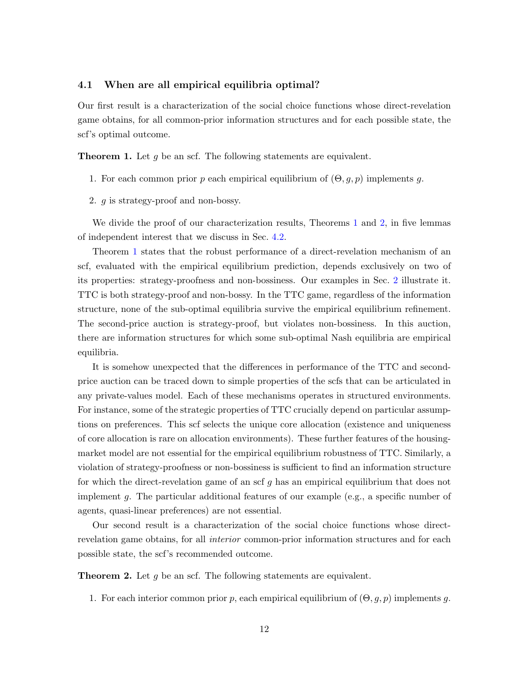#### 4.1 When are all empirical equilibria optimal?

Our first result is a characterization of the social choice functions whose direct-revelation game obtains, for all common-prior information structures and for each possible state, the scf's optimal outcome.

<span id="page-12-0"></span>**Theorem 1.** Let  $g$  be an scf. The following statements are equivalent.

- 1. For each common prior p each empirical equilibrium of  $(\Theta, g, p)$  implements g.
- 2. g is strategy-proof and non-bossy.

We divide the proof of our characterization results, Theorems [1](#page-12-0) and [2,](#page-12-1) in five lemmas of independent interest that we discuss in Sec. [4.2.](#page-13-0)

Theorem [1](#page-12-0) states that the robust performance of a direct-revelation mechanism of an scf, evaluated with the empirical equilibrium prediction, depends exclusively on two of its properties: strategy-proofness and non-bossiness. Our examples in Sec. [2](#page-5-0) illustrate it. TTC is both strategy-proof and non-bossy. In the TTC game, regardless of the information structure, none of the sub-optimal equilibria survive the empirical equilibrium refinement. The second-price auction is strategy-proof, but violates non-bossiness. In this auction, there are information structures for which some sub-optimal Nash equilibria are empirical equilibria.

It is somehow unexpected that the differences in performance of the TTC and secondprice auction can be traced down to simple properties of the scfs that can be articulated in any private-values model. Each of these mechanisms operates in structured environments. For instance, some of the strategic properties of TTC crucially depend on particular assumptions on preferences. This scf selects the unique core allocation (existence and uniqueness of core allocation is rare on allocation environments). These further features of the housingmarket model are not essential for the empirical equilibrium robustness of TTC. Similarly, a violation of strategy-proofness or non-bossiness is sufficient to find an information structure for which the direct-revelation game of an scf g has an empirical equilibrium that does not implement g. The particular additional features of our example (e.g., a specific number of agents, quasi-linear preferences) are not essential.

Our second result is a characterization of the social choice functions whose directrevelation game obtains, for all *interior* common-prior information structures and for each possible state, the scf's recommended outcome.

<span id="page-12-1"></span>**Theorem 2.** Let  $g$  be an scf. The following statements are equivalent.

1. For each interior common prior p, each empirical equilibrium of  $(\Theta, g, p)$  implements g.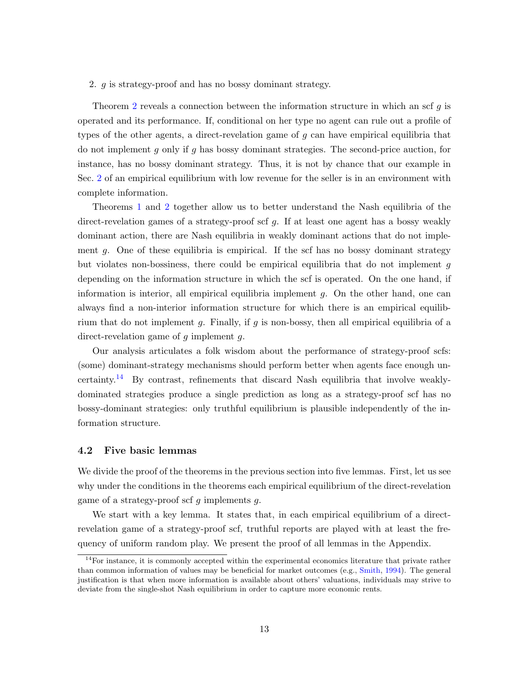2. g is strategy-proof and has no bossy dominant strategy.

Theorem [2](#page-12-1) reveals a connection between the information structure in which an scf g is operated and its performance. If, conditional on her type no agent can rule out a profile of types of the other agents, a direct-revelation game of g can have empirical equilibria that do not implement q only if q has bossy dominant strategies. The second-price auction, for instance, has no bossy dominant strategy. Thus, it is not by chance that our example in Sec. [2](#page-5-0) of an empirical equilibrium with low revenue for the seller is in an environment with complete information.

Theorems [1](#page-12-0) and [2](#page-12-1) together allow us to better understand the Nash equilibria of the direct-revelation games of a strategy-proof scf g. If at least one agent has a bossy weakly dominant action, there are Nash equilibria in weakly dominant actions that do not implement  $g$ . One of these equilibria is empirical. If the scf has no bossy dominant strategy but violates non-bossiness, there could be empirical equilibria that do not implement g depending on the information structure in which the scf is operated. On the one hand, if information is interior, all empirical equilibria implement g. On the other hand, one can always find a non-interior information structure for which there is an empirical equilibrium that do not implement  $g$ . Finally, if  $g$  is non-bossy, then all empirical equilibria of a direct-revelation game of  $g$  implement  $g$ .

Our analysis articulates a folk wisdom about the performance of strategy-proof scfs: (some) dominant-strategy mechanisms should perform better when agents face enough un-certainty.<sup>[14](#page-13-1)</sup> By contrast, refinements that discard Nash equilibria that involve weaklydominated strategies produce a single prediction as long as a strategy-proof scf has no bossy-dominant strategies: only truthful equilibrium is plausible independently of the information structure.

#### <span id="page-13-0"></span>4.2 Five basic lemmas

We divide the proof of the theorems in the previous section into five lemmas. First, let us see why under the conditions in the theorems each empirical equilibrium of the direct-revelation game of a strategy-proof scf q implements q.

We start with a key lemma. It states that, in each empirical equilibrium of a directrevelation game of a strategy-proof scf, truthful reports are played with at least the frequency of uniform random play. We present the proof of all lemmas in the Appendix.

<span id="page-13-1"></span> $14$ For instance, it is commonly accepted within the experimental economics literature that private rather than common information of values may be beneficial for market outcomes (e.g., [Smith,](#page-40-7) [1994\)](#page-40-7). The general justification is that when more information is available about others' valuations, individuals may strive to deviate from the single-shot Nash equilibrium in order to capture more economic rents.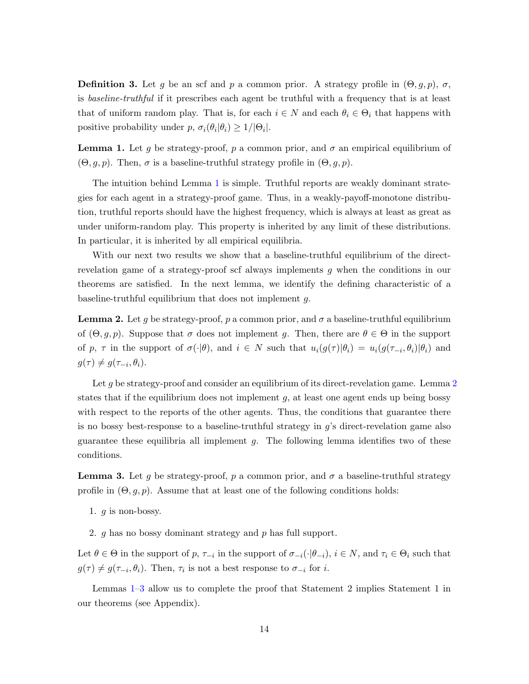**Definition 3.** Let g be an scf and p a common prior. A strategy profile in  $(\Theta, g, p)$ ,  $\sigma$ , is baseline-truthful if it prescribes each agent be truthful with a frequency that is at least that of uniform random play. That is, for each  $i \in N$  and each  $\theta_i \in \Theta_i$  that happens with positive probability under  $p, \sigma_i(\theta_i|\theta_i) \geq 1/|\Theta_i|$ .

<span id="page-14-0"></span>**Lemma 1.** Let g be strategy-proof, p a common prior, and  $\sigma$  an empirical equilibrium of  $(\Theta, g, p)$ . Then,  $\sigma$  is a baseline-truthful strategy profile in  $(\Theta, g, p)$ .

The intuition behind Lemma [1](#page-14-0) is simple. Truthful reports are weakly dominant strategies for each agent in a strategy-proof game. Thus, in a weakly-payoff-monotone distribution, truthful reports should have the highest frequency, which is always at least as great as under uniform-random play. This property is inherited by any limit of these distributions. In particular, it is inherited by all empirical equilibria.

With our next two results we show that a baseline-truthful equilibrium of the directrevelation game of a strategy-proof scf always implements g when the conditions in our theorems are satisfied. In the next lemma, we identify the defining characteristic of a baseline-truthful equilibrium that does not implement g.

<span id="page-14-1"></span>**Lemma 2.** Let g be strategy-proof, p a common prior, and  $\sigma$  a baseline-truthful equilibrium of  $(\Theta, g, p)$ . Suppose that  $\sigma$  does not implement g. Then, there are  $\theta \in \Theta$  in the support of p,  $\tau$  in the support of  $\sigma(\cdot|\theta)$ , and  $i \in N$  such that  $u_i(g(\tau)|\theta_i) = u_i(g(\tau_{-i}, \theta_i)|\theta_i)$  and  $g(\tau) \neq g(\tau_{-i}, \theta_i).$ 

Let g be strategy-proof and consider an equilibrium of its direct-revelation game. Lemma  $2$ states that if the equilibrium does not implement  $g$ , at least one agent ends up being bossy with respect to the reports of the other agents. Thus, the conditions that guarantee there is no bossy best-response to a baseline-truthful strategy in g's direct-revelation game also guarantee these equilibria all implement  $q$ . The following lemma identifies two of these conditions.

**Lemma 3.** Let g be strategy-proof, p a common prior, and  $\sigma$  a baseline-truthful strategy profile in  $(\Theta, g, p)$ . Assume that at least one of the following conditions holds:

1.  $q$  is non-bossy.

<span id="page-14-2"></span>2. g has no bossy dominant strategy and p has full support.

Let  $\theta \in \Theta$  in the support of p,  $\tau_{-i}$  in the support of  $\sigma_{-i}(\cdot|\theta_{-i}), i \in N$ , and  $\tau_i \in \Theta_i$  such that  $g(\tau) \neq g(\tau_{-i}, \theta_i)$ . Then,  $\tau_i$  is not a best response to  $\sigma_{-i}$  for i.

Lemmas [1](#page-14-0)[–3](#page-14-2) allow us to complete the proof that Statement 2 implies Statement 1 in our theorems (see Appendix).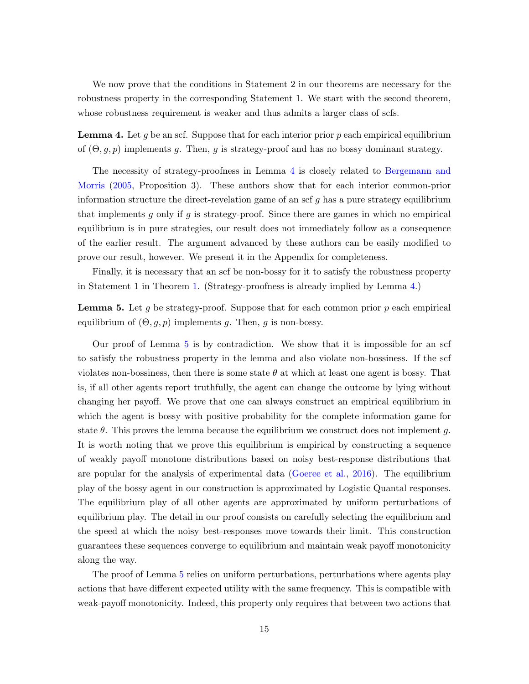We now prove that the conditions in Statement 2 in our theorems are necessary for the robustness property in the corresponding Statement 1. We start with the second theorem, whose robustness requirement is weaker and thus admits a larger class of scfs.

<span id="page-15-0"></span>**Lemma 4.** Let g be an scf. Suppose that for each interior prior p each empirical equilibrium of  $(\Theta, g, p)$  implements g. Then, g is strategy-proof and has no bossy dominant strategy.

The necessity of strategy-proofness in Lemma [4](#page-15-0) is closely related to [Bergemann and](#page-35-13) [Morris](#page-35-13) [\(2005,](#page-35-13) Proposition 3). These authors show that for each interior common-prior information structure the direct-revelation game of an scf  $g$  has a pure strategy equilibrium that implements q only if q is strategy-proof. Since there are games in which no empirical equilibrium is in pure strategies, our result does not immediately follow as a consequence of the earlier result. The argument advanced by these authors can be easily modified to prove our result, however. We present it in the Appendix for completeness.

Finally, it is necessary that an scf be non-bossy for it to satisfy the robustness property in Statement 1 in Theorem [1.](#page-12-0) (Strategy-proofness is already implied by Lemma [4.](#page-15-0))

<span id="page-15-1"></span>**Lemma 5.** Let g be strategy-proof. Suppose that for each common prior  $p$  each empirical equilibrium of  $(\Theta, g, p)$  implements g. Then, g is non-bossy.

Our proof of Lemma [5](#page-15-1) is by contradiction. We show that it is impossible for an scf to satisfy the robustness property in the lemma and also violate non-bossiness. If the scf violates non-bossiness, then there is some state  $\theta$  at which at least one agent is bossy. That is, if all other agents report truthfully, the agent can change the outcome by lying without changing her payoff. We prove that one can always construct an empirical equilibrium in which the agent is bossy with positive probability for the complete information game for state  $\theta$ . This proves the lemma because the equilibrium we construct does not implement g. It is worth noting that we prove this equilibrium is empirical by constructing a sequence of weakly payoff monotone distributions based on noisy best-response distributions that are popular for the analysis of experimental data [\(Goeree et al.,](#page-37-9) [2016\)](#page-37-9). The equilibrium play of the bossy agent in our construction is approximated by Logistic Quantal responses. The equilibrium play of all other agents are approximated by uniform perturbations of equilibrium play. The detail in our proof consists on carefully selecting the equilibrium and the speed at which the noisy best-responses move towards their limit. This construction guarantees these sequences converge to equilibrium and maintain weak payoff monotonicity along the way.

The proof of Lemma [5](#page-15-1) relies on uniform perturbations, perturbations where agents play actions that have different expected utility with the same frequency. This is compatible with weak-payoff monotonicity. Indeed, this property only requires that between two actions that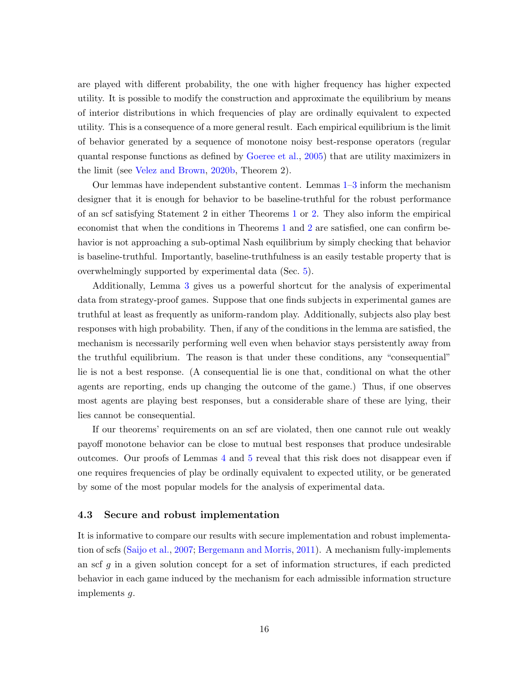are played with different probability, the one with higher frequency has higher expected utility. It is possible to modify the construction and approximate the equilibrium by means of interior distributions in which frequencies of play are ordinally equivalent to expected utility. This is a consequence of a more general result. Each empirical equilibrium is the limit of behavior generated by a sequence of monotone noisy best-response operators (regular quantal response functions as defined by [Goeree et al.,](#page-37-7) [2005\)](#page-37-7) that are utility maximizers in the limit (see [Velez and Brown,](#page-40-2) [2020b,](#page-40-2) Theorem 2).

Our lemmas have independent substantive content. Lemmas [1–](#page-14-0)[3](#page-14-2) inform the mechanism designer that it is enough for behavior to be baseline-truthful for the robust performance of an scf satisfying Statement 2 in either Theorems [1](#page-12-0) or [2.](#page-12-1) They also inform the empirical economist that when the conditions in Theorems [1](#page-12-0) and [2](#page-12-1) are satisfied, one can confirm behavior is not approaching a sub-optimal Nash equilibrium by simply checking that behavior is baseline-truthful. Importantly, baseline-truthfulness is an easily testable property that is overwhelmingly supported by experimental data (Sec. [5\)](#page-19-0).

Additionally, Lemma [3](#page-14-2) gives us a powerful shortcut for the analysis of experimental data from strategy-proof games. Suppose that one finds subjects in experimental games are truthful at least as frequently as uniform-random play. Additionally, subjects also play best responses with high probability. Then, if any of the conditions in the lemma are satisfied, the mechanism is necessarily performing well even when behavior stays persistently away from the truthful equilibrium. The reason is that under these conditions, any "consequential" lie is not a best response. (A consequential lie is one that, conditional on what the other agents are reporting, ends up changing the outcome of the game.) Thus, if one observes most agents are playing best responses, but a considerable share of these are lying, their lies cannot be consequential.

If our theorems' requirements on an scf are violated, then one cannot rule out weakly payoff monotone behavior can be close to mutual best responses that produce undesirable outcomes. Our proofs of Lemmas [4](#page-15-0) and [5](#page-15-1) reveal that this risk does not disappear even if one requires frequencies of play be ordinally equivalent to expected utility, or be generated by some of the most popular models for the analysis of experimental data.

#### <span id="page-16-0"></span>4.3 Secure and robust implementation

It is informative to compare our results with secure implementation and robust implementation of scfs [\(Saijo et al.,](#page-39-9) [2007;](#page-39-9) [Bergemann and Morris,](#page-35-6) [2011\)](#page-35-6). A mechanism fully-implements an scf  $g$  in a given solution concept for a set of information structures, if each predicted behavior in each game induced by the mechanism for each admissible information structure implements g.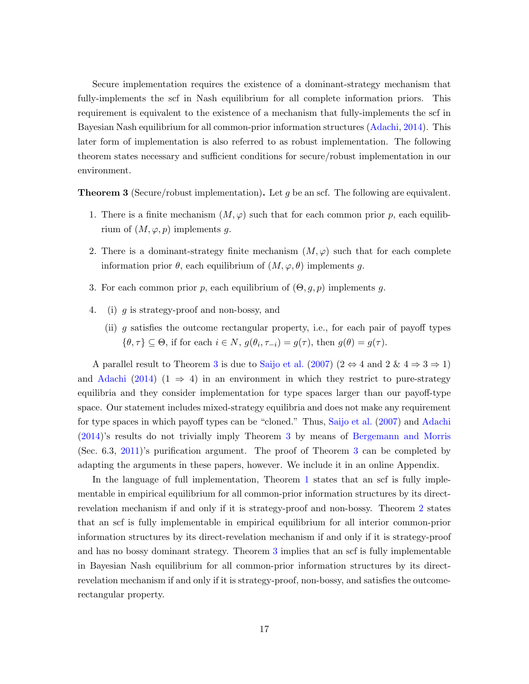Secure implementation requires the existence of a dominant-strategy mechanism that fully-implements the scf in Nash equilibrium for all complete information priors. This requirement is equivalent to the existence of a mechanism that fully-implements the scf in Bayesian Nash equilibrium for all common-prior information structures [\(Adachi,](#page-35-7) [2014\)](#page-35-7). This later form of implementation is also referred to as robust implementation. The following theorem states necessary and sufficient conditions for secure/robust implementation in our environment.

<span id="page-17-0"></span>**Theorem 3** (Secure/robust implementation). Let g be an scf. The following are equivalent.

- 1. There is a finite mechanism  $(M, \varphi)$  such that for each common prior p, each equilibrium of  $(M, \varphi, p)$  implements g.
- 2. There is a dominant-strategy finite mechanism  $(M, \varphi)$  such that for each complete information prior  $\theta$ , each equilibrium of  $(M, \varphi, \theta)$  implements g.
- 3. For each common prior p, each equilibrium of  $(\Theta, g, p)$  implements g.
- 4. (i) g is strategy-proof and non-bossy, and
	- (ii) g satisfies the outcome rectangular property, i.e., for each pair of payoff types  $\{\theta, \tau\} \subseteq \Theta$ , if for each  $i \in N$ ,  $g(\theta_i, \tau_{-i}) = g(\tau)$ , then  $g(\theta) = g(\tau)$ .

A parallel result to Theorem [3](#page-17-0) is due to [Saijo et al.](#page-39-9) [\(2007\)](#page-39-9) ( $2 \Leftrightarrow 4$  and  $2 \& 4 \Rightarrow 3 \Rightarrow 1$ ) and [Adachi](#page-35-7) [\(2014\)](#page-35-7) (1  $\Rightarrow$  4) in an environment in which they restrict to pure-strategy equilibria and they consider implementation for type spaces larger than our payoff-type space. Our statement includes mixed-strategy equilibria and does not make any requirement for type spaces in which payoff types can be "cloned." Thus, [Saijo et al.](#page-39-9) [\(2007\)](#page-39-9) and [Adachi](#page-35-7) [\(2014\)](#page-35-7)'s results do not trivially imply Theorem [3](#page-17-0) by means of [Bergemann and Morris](#page-35-6) (Sec. 6.3, [2011\)](#page-35-6)'s purification argument. The proof of Theorem [3](#page-17-0) can be completed by adapting the arguments in these papers, however. We include it in an online Appendix.

In the language of full implementation, Theorem [1](#page-12-0) states that an scf is fully implementable in empirical equilibrium for all common-prior information structures by its directrevelation mechanism if and only if it is strategy-proof and non-bossy. Theorem [2](#page-12-1) states that an scf is fully implementable in empirical equilibrium for all interior common-prior information structures by its direct-revelation mechanism if and only if it is strategy-proof and has no bossy dominant strategy. Theorem [3](#page-17-0) implies that an scf is fully implementable in Bayesian Nash equilibrium for all common-prior information structures by its directrevelation mechanism if and only if it is strategy-proof, non-bossy, and satisfies the outcomerectangular property.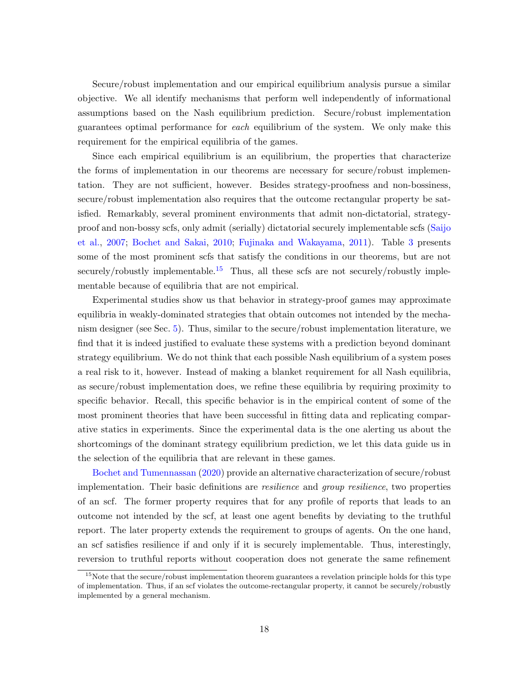Secure/robust implementation and our empirical equilibrium analysis pursue a similar objective. We all identify mechanisms that perform well independently of informational assumptions based on the Nash equilibrium prediction. Secure/robust implementation guarantees optimal performance for each equilibrium of the system. We only make this requirement for the empirical equilibria of the games.

Since each empirical equilibrium is an equilibrium, the properties that characterize the forms of implementation in our theorems are necessary for secure/robust implementation. They are not sufficient, however. Besides strategy-proofness and non-bossiness, secure/robust implementation also requires that the outcome rectangular property be satisfied. Remarkably, several prominent environments that admit non-dictatorial, strategyproof and non-bossy scfs, only admit (serially) dictatorial securely implementable scfs [\(Saijo](#page-39-9) [et al.,](#page-39-9) [2007;](#page-39-9) [Bochet and Sakai,](#page-36-6) [2010;](#page-36-6) [Fujinaka and Wakayama,](#page-37-12) [2011\)](#page-37-12). Table [3](#page-19-1) presents some of the most prominent scfs that satisfy the conditions in our theorems, but are not securely/robustly implementable.<sup>[15](#page-18-0)</sup> Thus, all these scfs are not securely/robustly implementable because of equilibria that are not empirical.

Experimental studies show us that behavior in strategy-proof games may approximate equilibria in weakly-dominated strategies that obtain outcomes not intended by the mechanism designer (see Sec. [5\)](#page-19-0). Thus, similar to the secure/robust implementation literature, we find that it is indeed justified to evaluate these systems with a prediction beyond dominant strategy equilibrium. We do not think that each possible Nash equilibrium of a system poses a real risk to it, however. Instead of making a blanket requirement for all Nash equilibria, as secure/robust implementation does, we refine these equilibria by requiring proximity to specific behavior. Recall, this specific behavior is in the empirical content of some of the most prominent theories that have been successful in fitting data and replicating comparative statics in experiments. Since the experimental data is the one alerting us about the shortcomings of the dominant strategy equilibrium prediction, we let this data guide us in the selection of the equilibria that are relevant in these games.

[Bochet and Tumennassan](#page-36-12) [\(2020\)](#page-36-12) provide an alternative characterization of secure/robust implementation. Their basic definitions are resilience and group resilience, two properties of an scf. The former property requires that for any profile of reports that leads to an outcome not intended by the scf, at least one agent benefits by deviating to the truthful report. The later property extends the requirement to groups of agents. On the one hand, an scf satisfies resilience if and only if it is securely implementable. Thus, interestingly, reversion to truthful reports without cooperation does not generate the same refinement

<span id="page-18-0"></span><sup>&</sup>lt;sup>15</sup>Note that the secure/robust implementation theorem guarantees a revelation principle holds for this type of implementation. Thus, if an scf violates the outcome-rectangular property, it cannot be securely/robustly implemented by a general mechanism.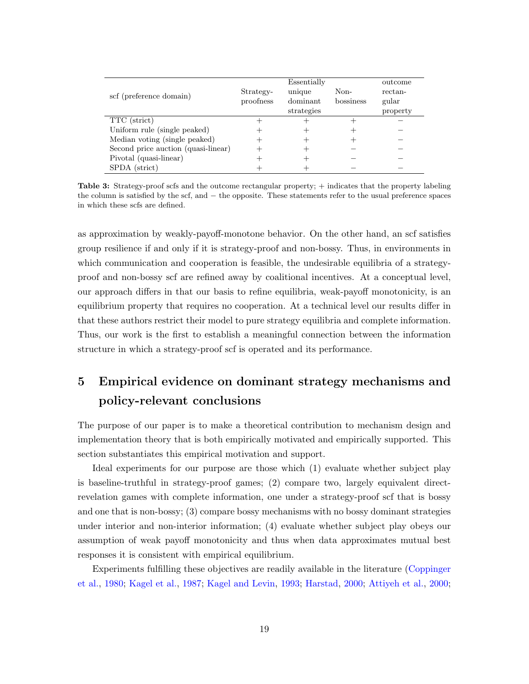<span id="page-19-1"></span>

| scf (preference domain)             | Strategy-<br>proofness | Essentially<br>unique<br>dominant<br>strategies | Non-<br>bossiness | outcome<br>rectan-<br>gular<br>property |
|-------------------------------------|------------------------|-------------------------------------------------|-------------------|-----------------------------------------|
| TTC (strict)                        |                        |                                                 |                   |                                         |
| Uniform rule (single peaked)        |                        |                                                 |                   |                                         |
| Median voting (single peaked)       |                        |                                                 |                   |                                         |
| Second price auction (quasi-linear) |                        |                                                 |                   |                                         |
| Pivotal (quasi-linear)              |                        |                                                 |                   |                                         |
| SPDA (strict)                       |                        |                                                 |                   |                                         |

Table 3: Strategy-proof scfs and the outcome rectangular property; + indicates that the property labeling the column is satisfied by the scf, and − the opposite. These statements refer to the usual preference spaces in which these scfs are defined.

as approximation by weakly-payoff-monotone behavior. On the other hand, an scf satisfies group resilience if and only if it is strategy-proof and non-bossy. Thus, in environments in which communication and cooperation is feasible, the undesirable equilibria of a strategyproof and non-bossy scf are refined away by coalitional incentives. At a conceptual level, our approach differs in that our basis to refine equilibria, weak-payoff monotonicity, is an equilibrium property that requires no cooperation. At a technical level our results differ in that these authors restrict their model to pure strategy equilibria and complete information. Thus, our work is the first to establish a meaningful connection between the information structure in which a strategy-proof scf is operated and its performance.

# <span id="page-19-0"></span>5 Empirical evidence on dominant strategy mechanisms and policy-relevant conclusions

The purpose of our paper is to make a theoretical contribution to mechanism design and implementation theory that is both empirically motivated and empirically supported. This section substantiates this empirical motivation and support.

Ideal experiments for our purpose are those which (1) evaluate whether subject play is baseline-truthful in strategy-proof games; (2) compare two, largely equivalent directrevelation games with complete information, one under a strategy-proof scf that is bossy and one that is non-bossy; (3) compare bossy mechanisms with no bossy dominant strategies under interior and non-interior information; (4) evaluate whether subject play obeys our assumption of weak payoff monotonicity and thus when data approximates mutual best responses it is consistent with empirical equilibrium.

Experiments fulfilling these objectives are readily available in the literature [\(Coppinger](#page-36-2) [et al.,](#page-36-2) [1980;](#page-36-2) [Kagel et al.,](#page-38-1) [1987;](#page-38-1) [Kagel and Levin,](#page-38-2) [1993;](#page-38-2) [Harstad,](#page-37-2) [2000;](#page-37-2) [Attiyeh et al.,](#page-35-1) [2000;](#page-35-1)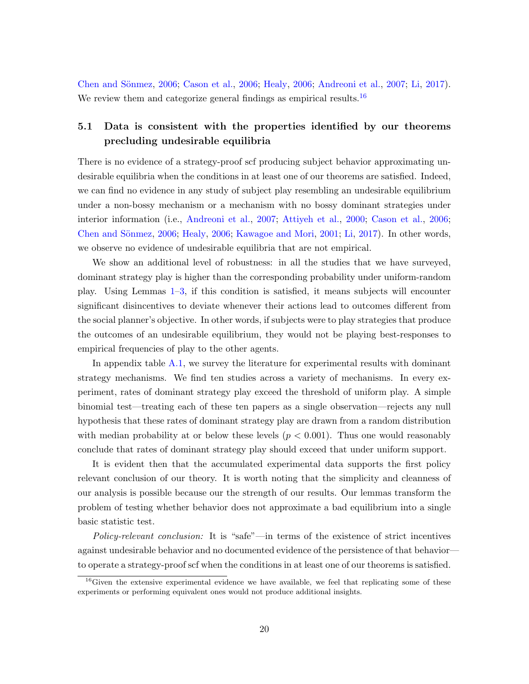Chen and Sönmez, [2006;](#page-37-1) [Cason et al.,](#page-36-0) 2006; [Healy,](#page-37-1) 2006; [Andreoni et al.,](#page-35-2) [2007;](#page-35-2) [Li,](#page-38-0) [2017\)](#page-38-0). We review them and categorize general findings as empirical results.<sup>[16](#page-20-0)</sup>

# <span id="page-20-1"></span>5.1 Data is consistent with the properties identified by our theorems precluding undesirable equilibria

There is no evidence of a strategy-proof scf producing subject behavior approximating undesirable equilibria when the conditions in at least one of our theorems are satisfied. Indeed, we can find no evidence in any study of subject play resembling an undesirable equilibrium under a non-bossy mechanism or a mechanism with no bossy dominant strategies under interior information (i.e., [Andreoni et al.,](#page-35-2) [2007;](#page-35-2) [Attiyeh et al.,](#page-35-1) [2000;](#page-35-1) [Cason et al.,](#page-36-0) [2006;](#page-36-0) Chen and Sönmez, [2006;](#page-37-1) [Healy,](#page-37-1) 2006; [Kawagoe and Mori,](#page-38-12) [2001;](#page-38-12) [Li,](#page-38-0) [2017\)](#page-38-0). In other words, we observe no evidence of undesirable equilibria that are not empirical.

We show an additional level of robustness: in all the studies that we have surveyed, dominant strategy play is higher than the corresponding probability under uniform-random play. Using Lemmas [1–](#page-14-0)[3,](#page-14-2) if this condition is satisfied, it means subjects will encounter significant disincentives to deviate whenever their actions lead to outcomes different from the social planner's objective. In other words, if subjects were to play strategies that produce the outcomes of an undesirable equilibrium, they would not be playing best-responses to empirical frequencies of play to the other agents.

In appendix table [A.1,](#page-45-0) we survey the literature for experimental results with dominant strategy mechanisms. We find ten studies across a variety of mechanisms. In every experiment, rates of dominant strategy play exceed the threshold of uniform play. A simple binomial test—treating each of these ten papers as a single observation—rejects any null hypothesis that these rates of dominant strategy play are drawn from a random distribution with median probability at or below these levels  $(p < 0.001)$ . Thus one would reasonably conclude that rates of dominant strategy play should exceed that under uniform support.

It is evident then that the accumulated experimental data supports the first policy relevant conclusion of our theory. It is worth noting that the simplicity and cleanness of our analysis is possible because our the strength of our results. Our lemmas transform the problem of testing whether behavior does not approximate a bad equilibrium into a single basic statistic test.

Policy-relevant conclusion: It is "safe"—in terms of the existence of strict incentives against undesirable behavior and no documented evidence of the persistence of that behavior to operate a strategy-proof scf when the conditions in at least one of our theorems is satisfied.

<span id="page-20-0"></span> $16$  Given the extensive experimental evidence we have available, we feel that replicating some of these experiments or performing equivalent ones would not produce additional insights.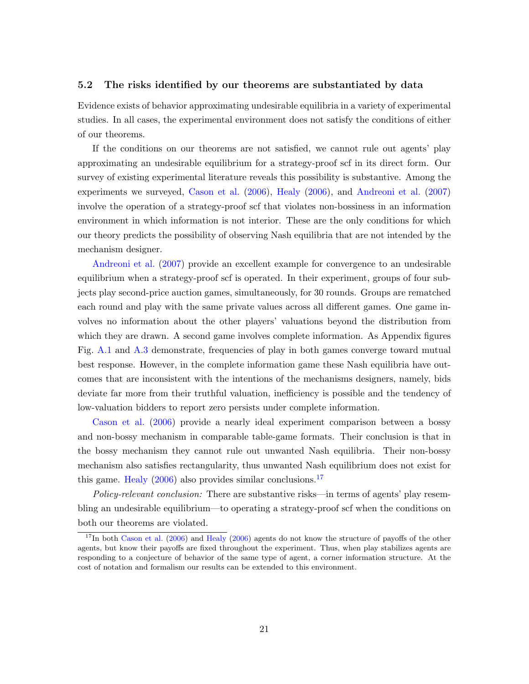#### <span id="page-21-0"></span>5.2 The risks identified by our theorems are substantiated by data

Evidence exists of behavior approximating undesirable equilibria in a variety of experimental studies. In all cases, the experimental environment does not satisfy the conditions of either of our theorems.

If the conditions on our theorems are not satisfied, we cannot rule out agents' play approximating an undesirable equilibrium for a strategy-proof scf in its direct form. Our survey of existing experimental literature reveals this possibility is substantive. Among the experiments we surveyed, [Cason et al.](#page-36-0) [\(2006\)](#page-36-0), [Healy](#page-37-1) [\(2006\)](#page-37-1), and [Andreoni et al.](#page-35-2) [\(2007\)](#page-35-2) involve the operation of a strategy-proof scf that violates non-bossiness in an information environment in which information is not interior. These are the only conditions for which our theory predicts the possibility of observing Nash equilibria that are not intended by the mechanism designer.

[Andreoni et al.](#page-35-2) [\(2007\)](#page-35-2) provide an excellent example for convergence to an undesirable equilibrium when a strategy-proof scf is operated. In their experiment, groups of four subjects play second-price auction games, simultaneously, for 30 rounds. Groups are rematched each round and play with the same private values across all different games. One game involves no information about the other players' valuations beyond the distribution from which they are drawn. A second game involves complete information. As Appendix figures Fig. [A.1](#page-46-0) and [A.3](#page-47-0) demonstrate, frequencies of play in both games converge toward mutual best response. However, in the complete information game these Nash equilibria have outcomes that are inconsistent with the intentions of the mechanisms designers, namely, bids deviate far more from their truthful valuation, inefficiency is possible and the tendency of low-valuation bidders to report zero persists under complete information.

[Cason et al.](#page-36-0) [\(2006\)](#page-36-0) provide a nearly ideal experiment comparison between a bossy and non-bossy mechanism in comparable table-game formats. Their conclusion is that in the bossy mechanism they cannot rule out unwanted Nash equilibria. Their non-bossy mechanism also satisfies rectangularity, thus unwanted Nash equilibrium does not exist for this game. [Healy](#page-37-1)  $(2006)$  also provides similar conclusions.<sup>[17](#page-21-1)</sup>

Policy-relevant conclusion: There are substantive risks—in terms of agents' play resembling an undesirable equilibrium—to operating a strategy-proof scf when the conditions on both our theorems are violated.

<span id="page-21-1"></span> $17$ In both [Cason et al.](#page-36-0) [\(2006\)](#page-37-1) and [Healy](#page-37-1) (2006) agents do not know the structure of payoffs of the other agents, but know their payoffs are fixed throughout the experiment. Thus, when play stabilizes agents are responding to a conjecture of behavior of the same type of agent, a corner information structure. At the cost of notation and formalism our results can be extended to this environment.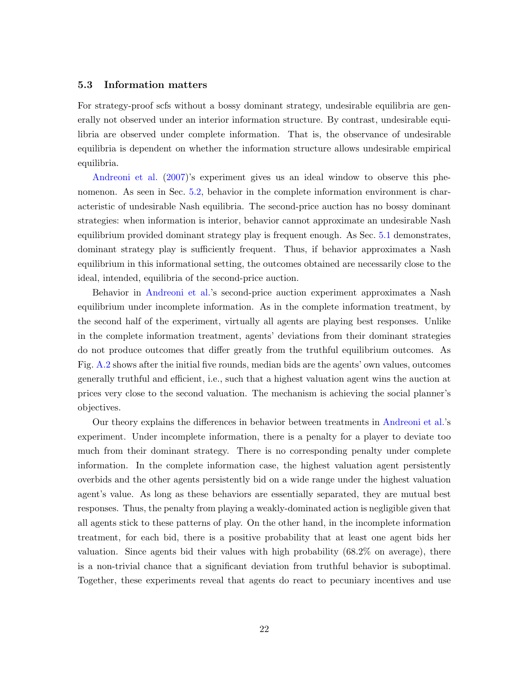#### 5.3 Information matters

For strategy-proof scfs without a bossy dominant strategy, undesirable equilibria are generally not observed under an interior information structure. By contrast, undesirable equilibria are observed under complete information. That is, the observance of undesirable equilibria is dependent on whether the information structure allows undesirable empirical equilibria.

[Andreoni et al.](#page-35-2) [\(2007\)](#page-35-2)'s experiment gives us an ideal window to observe this phenomenon. As seen in Sec. [5.2,](#page-21-0) behavior in the complete information environment is characteristic of undesirable Nash equilibria. The second-price auction has no bossy dominant strategies: when information is interior, behavior cannot approximate an undesirable Nash equilibrium provided dominant strategy play is frequent enough. As Sec. [5.1](#page-20-1) demonstrates, dominant strategy play is sufficiently frequent. Thus, if behavior approximates a Nash equilibrium in this informational setting, the outcomes obtained are necessarily close to the ideal, intended, equilibria of the second-price auction.

Behavior in [Andreoni et al.'](#page-35-2)s second-price auction experiment approximates a Nash equilibrium under incomplete information. As in the complete information treatment, by the second half of the experiment, virtually all agents are playing best responses. Unlike in the complete information treatment, agents' deviations from their dominant strategies do not produce outcomes that differ greatly from the truthful equilibrium outcomes. As Fig. [A.2](#page-46-1) shows after the initial five rounds, median bids are the agents' own values, outcomes generally truthful and efficient, i.e., such that a highest valuation agent wins the auction at prices very close to the second valuation. The mechanism is achieving the social planner's objectives.

Our theory explains the differences in behavior between treatments in [Andreoni et al.'](#page-35-2)s experiment. Under incomplete information, there is a penalty for a player to deviate too much from their dominant strategy. There is no corresponding penalty under complete information. In the complete information case, the highest valuation agent persistently overbids and the other agents persistently bid on a wide range under the highest valuation agent's value. As long as these behaviors are essentially separated, they are mutual best responses. Thus, the penalty from playing a weakly-dominated action is negligible given that all agents stick to these patterns of play. On the other hand, in the incomplete information treatment, for each bid, there is a positive probability that at least one agent bids her valuation. Since agents bid their values with high probability (68.2% on average), there is a non-trivial chance that a significant deviation from truthful behavior is suboptimal. Together, these experiments reveal that agents do react to pecuniary incentives and use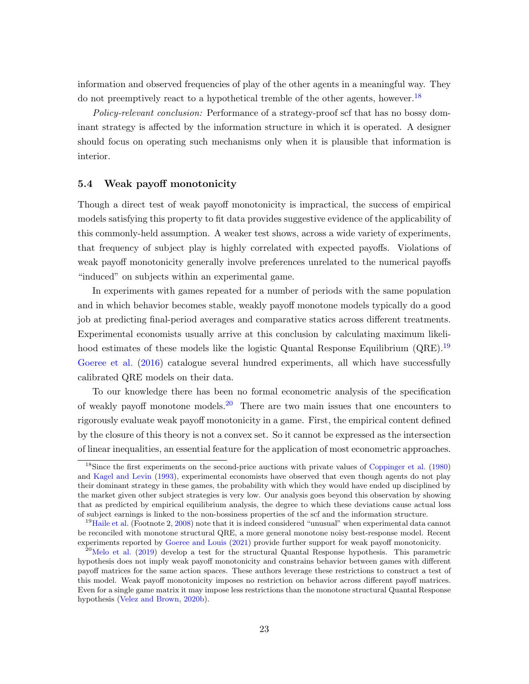information and observed frequencies of play of the other agents in a meaningful way. They do not preemptively react to a hypothetical tremble of the other agents, however.<sup>[18](#page-23-0)</sup>

Policy-relevant conclusion: Performance of a strategy-proof scf that has no bossy dominant strategy is affected by the information structure in which it is operated. A designer should focus on operating such mechanisms only when it is plausible that information is interior.

#### 5.4 Weak payoff monotonicity

Though a direct test of weak payoff monotonicity is impractical, the success of empirical models satisfying this property to fit data provides suggestive evidence of the applicability of this commonly-held assumption. A weaker test shows, across a wide variety of experiments, that frequency of subject play is highly correlated with expected payoffs. Violations of weak payoff monotonicity generally involve preferences unrelated to the numerical payoffs "induced" on subjects within an experimental game.

In experiments with games repeated for a number of periods with the same population and in which behavior becomes stable, weakly payoff monotone models typically do a good job at predicting final-period averages and comparative statics across different treatments. Experimental economists usually arrive at this conclusion by calculating maximum likeli-hood estimates of these models like the logistic Quantal Response Equilibrium (QRE).<sup>[19](#page-23-1)</sup> [Goeree et al.](#page-37-9) [\(2016\)](#page-37-9) catalogue several hundred experiments, all which have successfully calibrated QRE models on their data.

To our knowledge there has been no formal econometric analysis of the specification of weakly payoff monotone models.[20](#page-23-2) There are two main issues that one encounters to rigorously evaluate weak payoff monotonicity in a game. First, the empirical content defined by the closure of this theory is not a convex set. So it cannot be expressed as the intersection of linear inequalities, an essential feature for the application of most econometric approaches.

<span id="page-23-0"></span><sup>&</sup>lt;sup>18</sup>Since the first experiments on the second-price auctions with private values of [Coppinger et al.](#page-36-2) [\(1980\)](#page-36-2) and [Kagel and Levin](#page-38-2) [\(1993\)](#page-38-2), experimental economists have observed that even though agents do not play their dominant strategy in these games, the probability with which they would have ended up disciplined by the market given other subject strategies is very low. Our analysis goes beyond this observation by showing that as predicted by empirical equilibrium analysis, the degree to which these deviations cause actual loss of subject earnings is linked to the non-bossiness properties of the scf and the information structure.

<span id="page-23-1"></span> $19$ [Haile et al.](#page-37-8) (Footnote 2, [2008\)](#page-37-8) note that it is indeed considered "unusual" when experimental data cannot be reconciled with monotone structural QRE, a more general monotone noisy best-response model. Recent experiments reported by [Goeree and Louis](#page-37-13) [\(2021\)](#page-37-13) provide further support for weak payoff monotonicity.

<span id="page-23-2"></span><sup>&</sup>lt;sup>20</sup>[Melo et al.](#page-38-13) [\(2019\)](#page-38-13) develop a test for the structural Quantal Response hypothesis. This parametric hypothesis does not imply weak payoff monotonicity and constrains behavior between games with different payoff matrices for the same action spaces. These authors leverage these restrictions to construct a test of this model. Weak payoff monotonicity imposes no restriction on behavior across different payoff matrices. Even for a single game matrix it may impose less restrictions than the monotone structural Quantal Response hypothesis [\(Velez and Brown,](#page-40-2) [2020b\)](#page-40-2).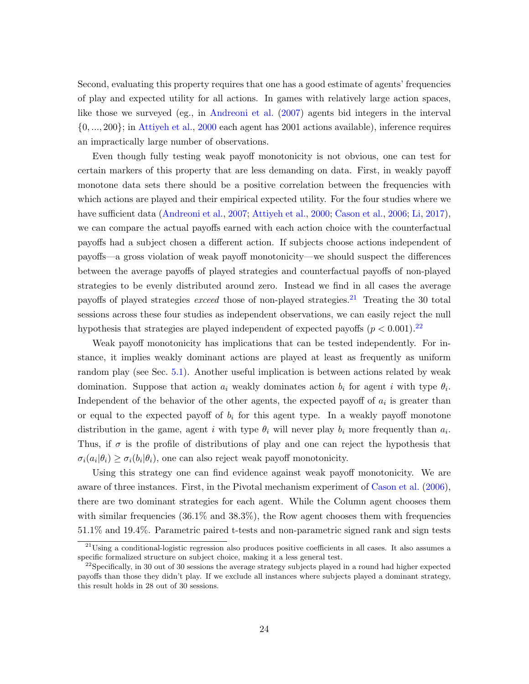Second, evaluating this property requires that one has a good estimate of agents' frequencies of play and expected utility for all actions. In games with relatively large action spaces, like those we surveyed (eg., in [Andreoni et al.](#page-35-2) [\(2007\)](#page-35-2) agents bid integers in the interval {0, ..., 200}; in [Attiyeh et al.,](#page-35-1) [2000](#page-35-1) each agent has 2001 actions available), inference requires an impractically large number of observations.

Even though fully testing weak payoff monotonicity is not obvious, one can test for certain markers of this property that are less demanding on data. First, in weakly payoff monotone data sets there should be a positive correlation between the frequencies with which actions are played and their empirical expected utility. For the four studies where we have sufficient data [\(Andreoni et al.,](#page-35-2) [2007;](#page-35-2) [Attiyeh et al.,](#page-35-1) [2000;](#page-35-1) [Cason et al.,](#page-36-0) [2006;](#page-36-0) [Li,](#page-38-0) [2017\)](#page-38-0), we can compare the actual payoffs earned with each action choice with the counterfactual payoffs had a subject chosen a different action. If subjects choose actions independent of payoffs—a gross violation of weak payoff monotonicity—we should suspect the differences between the average payoffs of played strategies and counterfactual payoffs of non-played strategies to be evenly distributed around zero. Instead we find in all cases the average payoffs of played strategies exceed those of non-played strategies.<sup>[21](#page-24-0)</sup> Treating the 30 total sessions across these four studies as independent observations, we can easily reject the null hypothesis that strategies are played independent of expected payoffs  $(p < 0.001)$ .<sup>[22](#page-24-1)</sup>

Weak payoff monotonicity has implications that can be tested independently. For instance, it implies weakly dominant actions are played at least as frequently as uniform random play (see Sec. [5.1\)](#page-20-1). Another useful implication is between actions related by weak domination. Suppose that action  $a_i$  weakly dominates action  $b_i$  for agent i with type  $\theta_i$ . Independent of the behavior of the other agents, the expected payoff of  $a_i$  is greater than or equal to the expected payoff of  $b_i$  for this agent type. In a weakly payoff monotone distribution in the game, agent i with type  $\theta_i$  will never play  $b_i$  more frequently than  $a_i$ . Thus, if  $\sigma$  is the profile of distributions of play and one can reject the hypothesis that  $\sigma_i(a_i|\theta_i) \geq \sigma_i(b_i|\theta_i)$ , one can also reject weak payoff monotonicity.

Using this strategy one can find evidence against weak payoff monotonicity. We are aware of three instances. First, in the Pivotal mechanism experiment of [Cason et al.](#page-36-0) [\(2006\)](#page-36-0), there are two dominant strategies for each agent. While the Column agent chooses them with similar frequencies  $(36.1\% \text{ and } 38.3\%)$ , the Row agent chooses them with frequencies 51.1% and 19.4%. Parametric paired t-tests and non-parametric signed rank and sign tests

<span id="page-24-0"></span><sup>&</sup>lt;sup>21</sup>Using a conditional-logistic regression also produces positive coefficients in all cases. It also assumes a specific formalized structure on subject choice, making it a less general test.

<span id="page-24-1"></span> $^{22}$ Specifically, in 30 out of 30 sessions the average strategy subjects played in a round had higher expected payoffs than those they didn't play. If we exclude all instances where subjects played a dominant strategy, this result holds in 28 out of 30 sessions.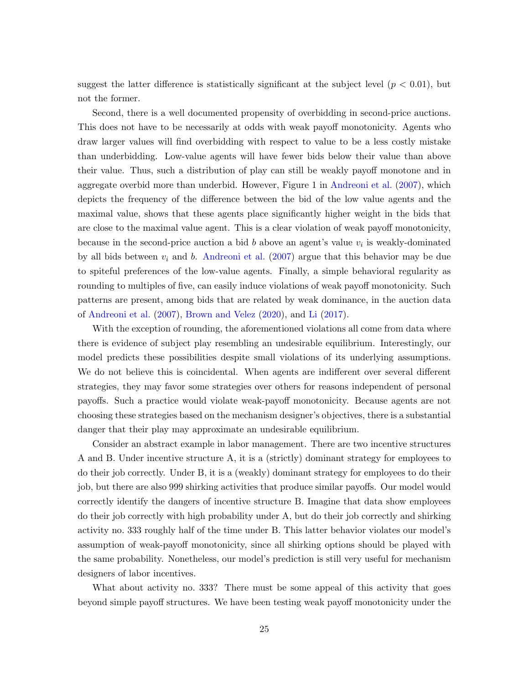suggest the latter difference is statistically significant at the subject level  $(p < 0.01)$ , but not the former.

Second, there is a well documented propensity of overbidding in second-price auctions. This does not have to be necessarily at odds with weak payoff monotonicity. Agents who draw larger values will find overbidding with respect to value to be a less costly mistake than underbidding. Low-value agents will have fewer bids below their value than above their value. Thus, such a distribution of play can still be weakly payoff monotone and in aggregate overbid more than underbid. However, Figure 1 in [Andreoni et al.](#page-35-2) [\(2007\)](#page-35-2), which depicts the frequency of the difference between the bid of the low value agents and the maximal value, shows that these agents place significantly higher weight in the bids that are close to the maximal value agent. This is a clear violation of weak payoff monotonicity, because in the second-price auction a bid  $b$  above an agent's value  $v_i$  is weakly-dominated by all bids between  $v_i$  and b. [Andreoni et al.](#page-35-2) [\(2007\)](#page-35-2) argue that this behavior may be due to spiteful preferences of the low-value agents. Finally, a simple behavioral regularity as rounding to multiples of five, can easily induce violations of weak payoff monotonicity. Such patterns are present, among bids that are related by weak dominance, in the auction data of [Andreoni et al.](#page-35-2) [\(2007\)](#page-35-2), [Brown and Velez](#page-36-13) [\(2020\)](#page-36-13), and [Li](#page-38-0) [\(2017\)](#page-38-0).

With the exception of rounding, the aforementioned violations all come from data where there is evidence of subject play resembling an undesirable equilibrium. Interestingly, our model predicts these possibilities despite small violations of its underlying assumptions. We do not believe this is coincidental. When agents are indifferent over several different strategies, they may favor some strategies over others for reasons independent of personal payoffs. Such a practice would violate weak-payoff monotonicity. Because agents are not choosing these strategies based on the mechanism designer's objectives, there is a substantial danger that their play may approximate an undesirable equilibrium.

Consider an abstract example in labor management. There are two incentive structures A and B. Under incentive structure A, it is a (strictly) dominant strategy for employees to do their job correctly. Under B, it is a (weakly) dominant strategy for employees to do their job, but there are also 999 shirking activities that produce similar payoffs. Our model would correctly identify the dangers of incentive structure B. Imagine that data show employees do their job correctly with high probability under A, but do their job correctly and shirking activity no. 333 roughly half of the time under B. This latter behavior violates our model's assumption of weak-payoff monotonicity, since all shirking options should be played with the same probability. Nonetheless, our model's prediction is still very useful for mechanism designers of labor incentives.

What about activity no. 333? There must be some appeal of this activity that goes beyond simple payoff structures. We have been testing weak payoff monotonicity under the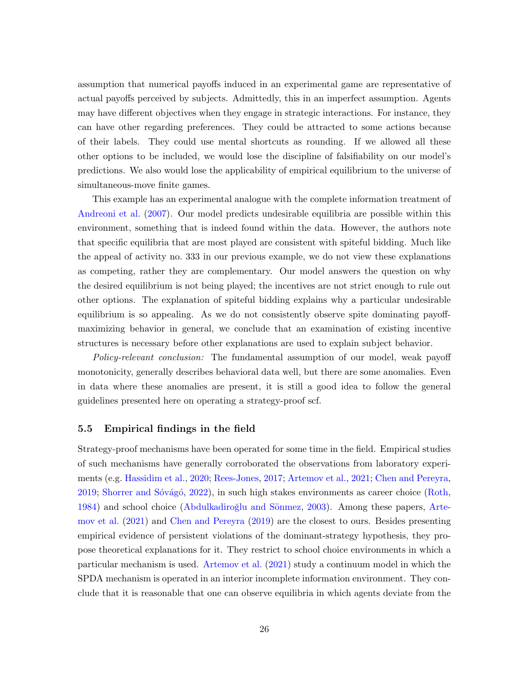assumption that numerical payoffs induced in an experimental game are representative of actual payoffs perceived by subjects. Admittedly, this in an imperfect assumption. Agents may have different objectives when they engage in strategic interactions. For instance, they can have other regarding preferences. They could be attracted to some actions because of their labels. They could use mental shortcuts as rounding. If we allowed all these other options to be included, we would lose the discipline of falsifiability on our model's predictions. We also would lose the applicability of empirical equilibrium to the universe of simultaneous-move finite games.

This example has an experimental analogue with the complete information treatment of [Andreoni et al.](#page-35-2) [\(2007\)](#page-35-2). Our model predicts undesirable equilibria are possible within this environment, something that is indeed found within the data. However, the authors note that specific equilibria that are most played are consistent with spiteful bidding. Much like the appeal of activity no. 333 in our previous example, we do not view these explanations as competing, rather they are complementary. Our model answers the question on why the desired equilibrium is not being played; the incentives are not strict enough to rule out other options. The explanation of spiteful bidding explains why a particular undesirable equilibrium is so appealing. As we do not consistently observe spite dominating payoffmaximizing behavior in general, we conclude that an examination of existing incentive structures is necessary before other explanations are used to explain subject behavior.

Policy-relevant conclusion: The fundamental assumption of our model, weak payoff monotonicity, generally describes behavioral data well, but there are some anomalies. Even in data where these anomalies are present, it is still a good idea to follow the general guidelines presented here on operating a strategy-proof scf.

#### 5.5 Empirical findings in the field

Strategy-proof mechanisms have been operated for some time in the field. Empirical studies of such mechanisms have generally corroborated the observations from laboratory experiments (e.g. [Hassidim et al.,](#page-37-3) [2020;](#page-37-3) [Rees-Jones,](#page-39-1) [2017;](#page-39-1) [Artemov et al.,](#page-35-3) [2021;](#page-35-3) [Chen and Pereyra,](#page-36-3) [2019;](#page-36-3) Shorrer and Sóvágó, [2022\)](#page-40-0), in such high stakes environments as career choice [\(Roth,](#page-39-13) [1984\)](#page-39-13) and school choice (Abdulkadiroğlu and Sönmez, [2003\)](#page-35-5). Among these papers, [Arte](#page-35-3)[mov et al.](#page-35-3) [\(2021\)](#page-35-3) and [Chen and Pereyra](#page-36-3) [\(2019\)](#page-36-3) are the closest to ours. Besides presenting empirical evidence of persistent violations of the dominant-strategy hypothesis, they propose theoretical explanations for it. They restrict to school choice environments in which a particular mechanism is used. [Artemov et al.](#page-35-3) [\(2021\)](#page-35-3) study a continuum model in which the SPDA mechanism is operated in an interior incomplete information environment. They conclude that it is reasonable that one can observe equilibria in which agents deviate from the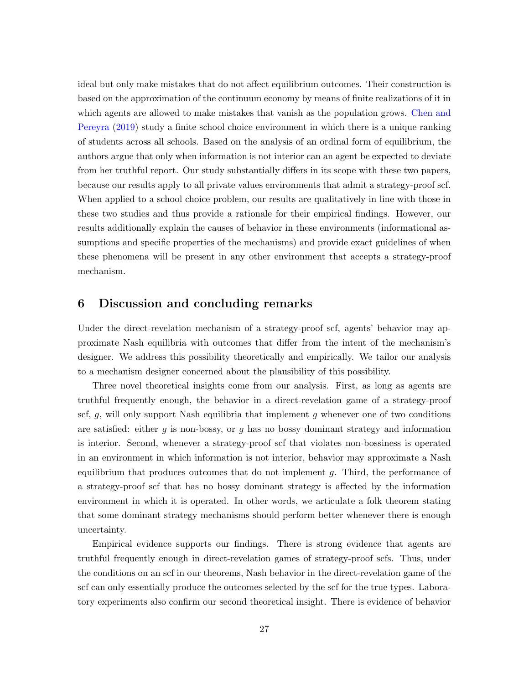ideal but only make mistakes that do not affect equilibrium outcomes. Their construction is based on the approximation of the continuum economy by means of finite realizations of it in which agents are allowed to make mistakes that vanish as the population grows. [Chen and](#page-36-3) [Pereyra](#page-36-3) [\(2019\)](#page-36-3) study a finite school choice environment in which there is a unique ranking of students across all schools. Based on the analysis of an ordinal form of equilibrium, the authors argue that only when information is not interior can an agent be expected to deviate from her truthful report. Our study substantially differs in its scope with these two papers, because our results apply to all private values environments that admit a strategy-proof scf. When applied to a school choice problem, our results are qualitatively in line with those in these two studies and thus provide a rationale for their empirical findings. However, our results additionally explain the causes of behavior in these environments (informational assumptions and specific properties of the mechanisms) and provide exact guidelines of when these phenomena will be present in any other environment that accepts a strategy-proof mechanism.

## 6 Discussion and concluding remarks

Under the direct-revelation mechanism of a strategy-proof scf, agents' behavior may approximate Nash equilibria with outcomes that differ from the intent of the mechanism's designer. We address this possibility theoretically and empirically. We tailor our analysis to a mechanism designer concerned about the plausibility of this possibility.

Three novel theoretical insights come from our analysis. First, as long as agents are truthful frequently enough, the behavior in a direct-revelation game of a strategy-proof scf, q, will only support Nash equilibria that implement q whenever one of two conditions are satisfied: either  $g$  is non-bossy, or  $g$  has no bossy dominant strategy and information is interior. Second, whenever a strategy-proof scf that violates non-bossiness is operated in an environment in which information is not interior, behavior may approximate a Nash equilibrium that produces outcomes that do not implement g. Third, the performance of a strategy-proof scf that has no bossy dominant strategy is affected by the information environment in which it is operated. In other words, we articulate a folk theorem stating that some dominant strategy mechanisms should perform better whenever there is enough uncertainty.

Empirical evidence supports our findings. There is strong evidence that agents are truthful frequently enough in direct-revelation games of strategy-proof scfs. Thus, under the conditions on an scf in our theorems, Nash behavior in the direct-revelation game of the scf can only essentially produce the outcomes selected by the scf for the true types. Laboratory experiments also confirm our second theoretical insight. There is evidence of behavior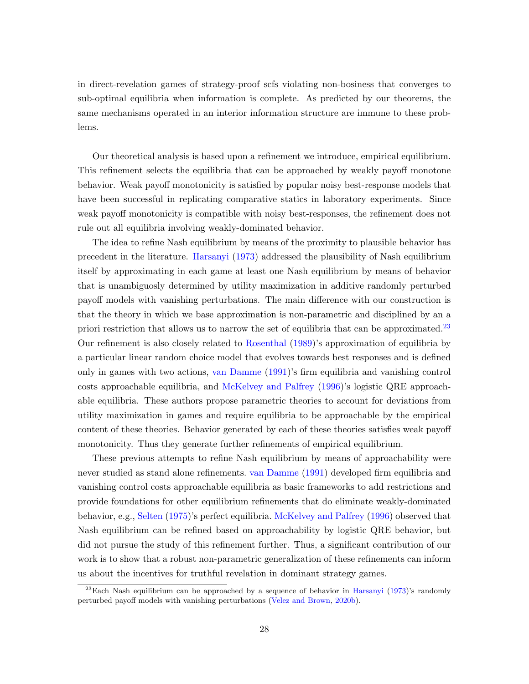in direct-revelation games of strategy-proof scfs violating non-bosiness that converges to sub-optimal equilibria when information is complete. As predicted by our theorems, the same mechanisms operated in an interior information structure are immune to these problems.

Our theoretical analysis is based upon a refinement we introduce, empirical equilibrium. This refinement selects the equilibria that can be approached by weakly payoff monotone behavior. Weak payoff monotonicity is satisfied by popular noisy best-response models that have been successful in replicating comparative statics in laboratory experiments. Since weak payoff monotonicity is compatible with noisy best-responses, the refinement does not rule out all equilibria involving weakly-dominated behavior.

The idea to refine Nash equilibrium by means of the proximity to plausible behavior has precedent in the literature. [Harsanyi](#page-37-5) [\(1973\)](#page-37-5) addressed the plausibility of Nash equilibrium itself by approximating in each game at least one Nash equilibrium by means of behavior that is unambiguosly determined by utility maximization in additive randomly perturbed payoff models with vanishing perturbations. The main difference with our construction is that the theory in which we base approximation is non-parametric and disciplined by an a priori restriction that allows us to narrow the set of equilibria that can be approximated.<sup>[23](#page-28-0)</sup> Our refinement is also closely related to [Rosenthal](#page-39-14) [\(1989\)](#page-39-14)'s approximation of equilibria by a particular linear random choice model that evolves towards best responses and is defined only in games with two actions, [van Damme](#page-40-1) [\(1991\)](#page-40-1)'s firm equilibria and vanishing control costs approachable equilibria, and [McKelvey and Palfrey](#page-38-8) [\(1996\)](#page-38-8)'s logistic QRE approachable equilibria. These authors propose parametric theories to account for deviations from utility maximization in games and require equilibria to be approachable by the empirical content of these theories. Behavior generated by each of these theories satisfies weak payoff monotonicity. Thus they generate further refinements of empirical equilibrium.

These previous attempts to refine Nash equilibrium by means of approachability were never studied as stand alone refinements. [van Damme](#page-40-1) [\(1991\)](#page-40-1) developed firm equilibria and vanishing control costs approachable equilibria as basic frameworks to add restrictions and provide foundations for other equilibrium refinements that do eliminate weakly-dominated behavior, e.g., [Selten](#page-39-2) [\(1975\)](#page-39-2)'s perfect equilibria. [McKelvey and Palfrey](#page-38-8) [\(1996\)](#page-38-8) observed that Nash equilibrium can be refined based on approachability by logistic QRE behavior, but did not pursue the study of this refinement further. Thus, a significant contribution of our work is to show that a robust non-parametric generalization of these refinements can inform us about the incentives for truthful revelation in dominant strategy games.

<span id="page-28-0"></span><sup>&</sup>lt;sup>23</sup>Each Nash equilibrium can be approached by a sequence of behavior in [Harsanyi](#page-37-5) [\(1973\)](#page-37-5)'s randomly perturbed payoff models with vanishing perturbations [\(Velez and Brown,](#page-40-2) [2020b\)](#page-40-2).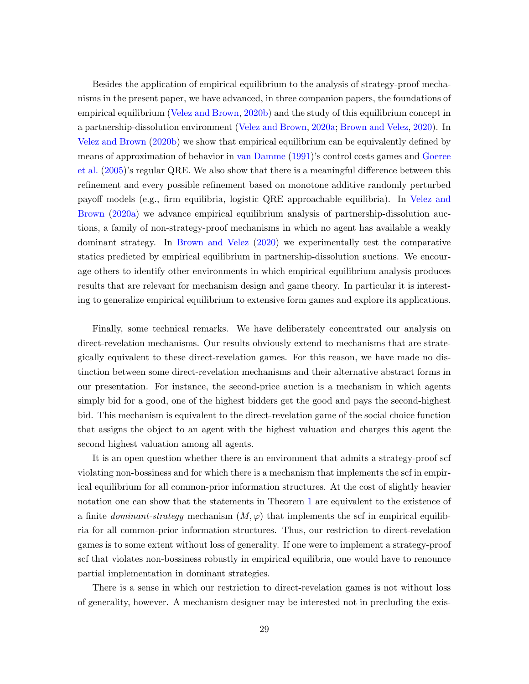Besides the application of empirical equilibrium to the analysis of strategy-proof mechanisms in the present paper, we have advanced, in three companion papers, the foundations of empirical equilibrium [\(Velez and Brown,](#page-40-2) [2020b\)](#page-40-2) and the study of this equilibrium concept in a partnership-dissolution environment [\(Velez and Brown,](#page-40-8) [2020a;](#page-40-8) [Brown and Velez,](#page-36-13) [2020\)](#page-36-13). In [Velez and Brown](#page-40-2) [\(2020b\)](#page-40-2) we show that empirical equilibrium can be equivalently defined by means of approximation of behavior in [van Damme](#page-40-1) [\(1991\)](#page-40-1)'s control costs games and [Goeree](#page-37-7) [et al.](#page-37-7) [\(2005\)](#page-37-7)'s regular QRE. We also show that there is a meaningful difference between this refinement and every possible refinement based on monotone additive randomly perturbed payoff models (e.g., firm equilibria, logistic QRE approachable equilibria). In [Velez and](#page-40-8) [Brown](#page-40-8) [\(2020a\)](#page-40-8) we advance empirical equilibrium analysis of partnership-dissolution auctions, a family of non-strategy-proof mechanisms in which no agent has available a weakly dominant strategy. In [Brown and Velez](#page-36-13) [\(2020\)](#page-36-13) we experimentally test the comparative statics predicted by empirical equilibrium in partnership-dissolution auctions. We encourage others to identify other environments in which empirical equilibrium analysis produces results that are relevant for mechanism design and game theory. In particular it is interesting to generalize empirical equilibrium to extensive form games and explore its applications.

Finally, some technical remarks. We have deliberately concentrated our analysis on direct-revelation mechanisms. Our results obviously extend to mechanisms that are strategically equivalent to these direct-revelation games. For this reason, we have made no distinction between some direct-revelation mechanisms and their alternative abstract forms in our presentation. For instance, the second-price auction is a mechanism in which agents simply bid for a good, one of the highest bidders get the good and pays the second-highest bid. This mechanism is equivalent to the direct-revelation game of the social choice function that assigns the object to an agent with the highest valuation and charges this agent the second highest valuation among all agents.

It is an open question whether there is an environment that admits a strategy-proof scf violating non-bossiness and for which there is a mechanism that implements the scf in empirical equilibrium for all common-prior information structures. At the cost of slightly heavier notation one can show that the statements in Theorem [1](#page-12-0) are equivalent to the existence of a finite *dominant-strategy* mechanism  $(M, \varphi)$  that implements the scf in empirical equilibria for all common-prior information structures. Thus, our restriction to direct-revelation games is to some extent without loss of generality. If one were to implement a strategy-proof scf that violates non-bossiness robustly in empirical equilibria, one would have to renounce partial implementation in dominant strategies.

There is a sense in which our restriction to direct-revelation games is not without loss of generality, however. A mechanism designer may be interested not in precluding the exis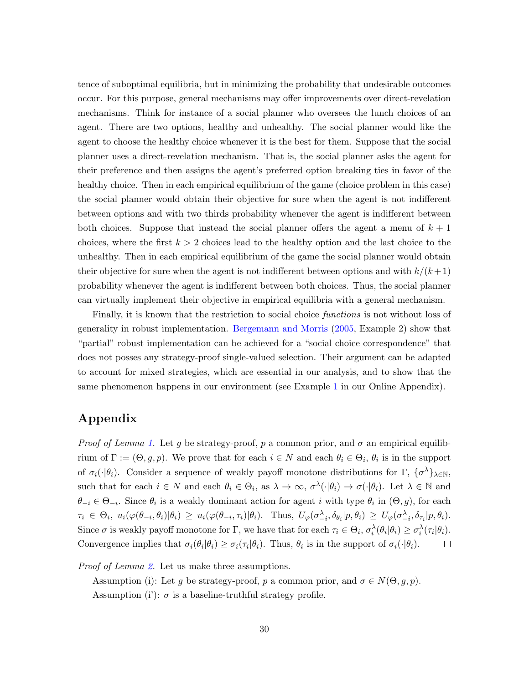tence of suboptimal equilibria, but in minimizing the probability that undesirable outcomes occur. For this purpose, general mechanisms may offer improvements over direct-revelation mechanisms. Think for instance of a social planner who oversees the lunch choices of an agent. There are two options, healthy and unhealthy. The social planner would like the agent to choose the healthy choice whenever it is the best for them. Suppose that the social planner uses a direct-revelation mechanism. That is, the social planner asks the agent for their preference and then assigns the agent's preferred option breaking ties in favor of the healthy choice. Then in each empirical equilibrium of the game (choice problem in this case) the social planner would obtain their objective for sure when the agent is not indifferent between options and with two thirds probability whenever the agent is indifferent between both choices. Suppose that instead the social planner offers the agent a menu of  $k + 1$ choices, where the first  $k > 2$  choices lead to the healthy option and the last choice to the unhealthy. Then in each empirical equilibrium of the game the social planner would obtain their objective for sure when the agent is not indifferent between options and with  $k/(k+1)$ probability whenever the agent is indifferent between both choices. Thus, the social planner can virtually implement their objective in empirical equilibria with a general mechanism.

Finally, it is known that the restriction to social choice functions is not without loss of generality in robust implementation. [Bergemann and Morris](#page-35-13) [\(2005,](#page-35-13) Example 2) show that "partial" robust implementation can be achieved for a "social choice correspondence" that does not posses any strategy-proof single-valued selection. Their argument can be adapted to account for mixed strategies, which are essential in our analysis, and to show that the same phenomenon happens in our environment (see Example [1](#page-43-0) in our Online Appendix).

# Appendix

*Proof of Lemma [1.](#page-14-0)* Let g be strategy-proof, p a common prior, and  $\sigma$  an empirical equilibrium of  $\Gamma := (\Theta, g, p)$ . We prove that for each  $i \in N$  and each  $\theta_i \in \Theta_i$ ,  $\theta_i$  is in the support of  $\sigma_i(\cdot|\theta_i)$ . Consider a sequence of weakly payoff monotone distributions for  $\Gamma$ ,  $\{\sigma^{\lambda}\}_{\lambda \in \mathbb{N}}$ , such that for each  $i \in N$  and each  $\theta_i \in \Theta_i$ , as  $\lambda \to \infty$ ,  $\sigma^{\lambda}(\cdot | \theta_i) \to \sigma(\cdot | \theta_i)$ . Let  $\lambda \in \mathbb{N}$  and  $\theta_{-i} \in \Theta_{-i}$ . Since  $\theta_i$  is a weakly dominant action for agent i with type  $\theta_i$  in  $(\Theta, g)$ , for each  $\tau_i \in \Theta_i$ ,  $u_i(\varphi(\theta_{-i}, \theta_i)|\theta_i) \geq u_i(\varphi(\theta_{-i}, \tau_i)|\theta_i)$ . Thus,  $U_\varphi(\sigma_{-i}^{\lambda}, \delta_{\theta_i}|p, \theta_i) \geq U_\varphi(\sigma_{-i}^{\lambda}, \delta_{\tau_i}|p, \theta_i)$ . Since  $\sigma$  is weakly payoff monotone for  $\Gamma$ , we have that for each  $\tau_i \in \Theta_i$ ,  $\sigma_i^{\lambda}(\theta_i|\theta_i) \geq \sigma_i^{\lambda}(\tau_i|\theta_i)$ . Convergence implies that  $\sigma_i(\theta_i|\theta_i) \geq \sigma_i(\tau_i|\theta_i)$ . Thus,  $\theta_i$  is in the support of  $\sigma_i(\cdot|\theta_i)$ .  $\Box$ 

*Proof of Lemma [2.](#page-14-1)* Let us make three assumptions.

Assumption (i): Let g be strategy-proof, p a common prior, and  $\sigma \in N(\Theta, g, p)$ . Assumption (i'):  $\sigma$  is a baseline-truthful strategy profile.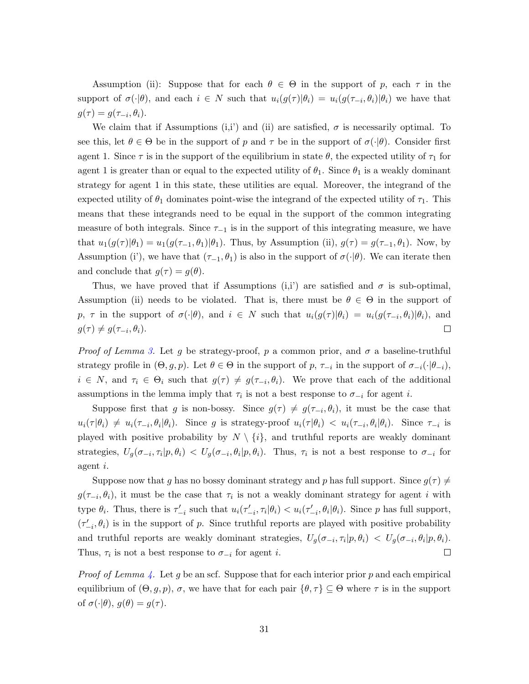Assumption (ii): Suppose that for each  $\theta \in \Theta$  in the support of p, each  $\tau$  in the support of  $\sigma(\cdot|\theta)$ , and each  $i \in N$  such that  $u_i(g(\tau)|\theta_i) = u_i(g(\tau_{-i}, \theta_i)|\theta_i)$  we have that  $g(\tau) = g(\tau_{-i}, \theta_i).$ 

We claim that if Assumptions (i,i) and (ii) are satisfied,  $\sigma$  is necessarily optimal. To see this, let  $\theta \in \Theta$  be in the support of p and  $\tau$  be in the support of  $\sigma(\cdot|\theta)$ . Consider first agent 1. Since  $\tau$  is in the support of the equilibrium in state  $\theta$ , the expected utility of  $\tau_1$  for agent 1 is greater than or equal to the expected utility of  $\theta_1$ . Since  $\theta_1$  is a weakly dominant strategy for agent 1 in this state, these utilities are equal. Moreover, the integrand of the expected utility of  $\theta_1$  dominates point-wise the integrand of the expected utility of  $\tau_1$ . This means that these integrands need to be equal in the support of the common integrating measure of both integrals. Since  $\tau_{-1}$  is in the support of this integrating measure, we have that  $u_1(g(\tau)|\theta_1) = u_1(g(\tau_{-1}, \theta_1)|\theta_1)$ . Thus, by Assumption (ii),  $g(\tau) = g(\tau_{-1}, \theta_1)$ . Now, by Assumption (i'), we have that  $(\tau_{-1}, \theta_1)$  is also in the support of  $\sigma(\cdot|\theta)$ . We can iterate then and conclude that  $q(\tau) = q(\theta)$ .

Thus, we have proved that if Assumptions (i,i') are satisfied and  $\sigma$  is sub-optimal, Assumption (ii) needs to be violated. That is, there must be  $\theta \in \Theta$  in the support of p,  $\tau$  in the support of  $\sigma(\cdot|\theta)$ , and  $i \in N$  such that  $u_i(g(\tau)|\theta_i) = u_i(g(\tau_{-i}, \theta_i)|\theta_i)$ , and  $g(\tau) \neq g(\tau_{-i}, \theta_i).$  $\Box$ 

*Proof of Lemma [3.](#page-14-2)* Let g be strategy-proof, p a common prior, and  $\sigma$  a baseline-truthful strategy profile in  $(\Theta, g, p)$ . Let  $\theta \in \Theta$  in the support of  $p, \tau_{-i}$  in the support of  $\sigma_{-i}(\cdot | \theta_{-i}),$  $i \in N$ , and  $\tau_i \in \Theta_i$  such that  $g(\tau) \neq g(\tau_{-i}, \theta_i)$ . We prove that each of the additional assumptions in the lemma imply that  $\tau_i$  is not a best response to  $\sigma_{-i}$  for agent *i*.

Suppose first that g is non-bossy. Since  $g(\tau) \neq g(\tau_{-i}, \theta_i)$ , it must be the case that  $u_i(\tau | \theta_i) \neq u_i(\tau_{-i}, \theta_i | \theta_i)$ . Since g is strategy-proof  $u_i(\tau | \theta_i) < u_i(\tau_{-i}, \theta_i | \theta_i)$ . Since  $\tau_{-i}$  is played with positive probability by  $N \setminus \{i\}$ , and truthful reports are weakly dominant strategies,  $U_g(\sigma_{-i}, \tau_i | p, \theta_i) < U_g(\sigma_{-i}, \theta_i | p, \theta_i)$ . Thus,  $\tau_i$  is not a best response to  $\sigma_{-i}$  for agent i.

Suppose now that g has no bossy dominant strategy and p has full support. Since  $q(\tau) \neq$  $g(\tau_{-i},\theta_i)$ , it must be the case that  $\tau_i$  is not a weakly dominant strategy for agent i with type  $\theta_i$ . Thus, there is  $\tau'_{-i}$  such that  $u_i(\tau'_{-i}, \tau_i | \theta_i) < u_i(\tau'_{-i}, \theta_i | \theta_i)$ . Since p has full support,  $(\tau'_{-i}, \theta_i)$  is in the support of p. Since truthful reports are played with positive probability and truthful reports are weakly dominant strategies,  $U_g(\sigma_{-i}, \tau_i | p, \theta_i) < U_g(\sigma_{-i}, \theta_i | p, \theta_i)$ . Thus,  $\tau_i$  is not a best response to  $\sigma_{-i}$  for agent *i*.  $\Box$ 

*Proof of Lemma [4.](#page-15-0)* Let g be an scf. Suppose that for each interior prior p and each empirical equilibrium of  $(\Theta, g, p)$ ,  $\sigma$ , we have that for each pair  $\{\theta, \tau\} \subseteq \Theta$  where  $\tau$  is in the support of  $\sigma(\cdot|\theta), g(\theta) = g(\tau)$ .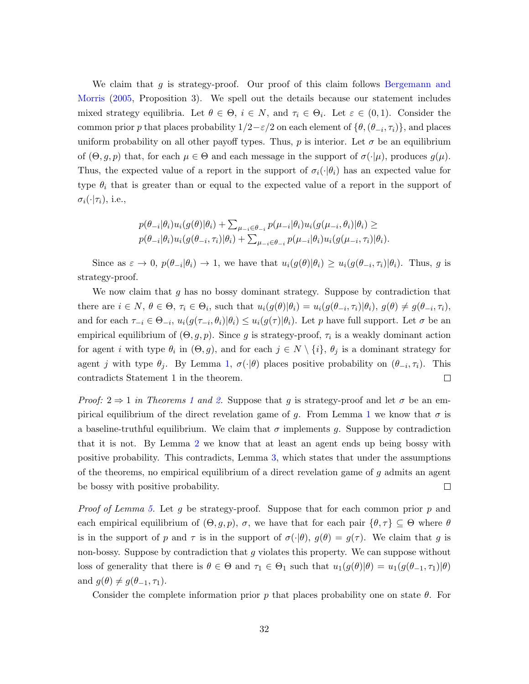We claim that  $g$  is strategy-proof. Our proof of this claim follows [Bergemann and](#page-35-13) [Morris](#page-35-13) [\(2005,](#page-35-13) Proposition 3). We spell out the details because our statement includes mixed strategy equilibria. Let  $\theta \in \Theta$ ,  $i \in N$ , and  $\tau_i \in \Theta_i$ . Let  $\varepsilon \in (0,1)$ . Consider the common prior p that places probability  $1/2 - \varepsilon/2$  on each element of  $\{\theta, (\theta_{-i}, \tau_i)\}\)$ , and places uniform probability on all other payoff types. Thus, p is interior. Let  $\sigma$  be an equilibrium of  $(\Theta, g, p)$  that, for each  $\mu \in \Theta$  and each message in the support of  $\sigma(\cdot|\mu)$ , produces  $g(\mu)$ . Thus, the expected value of a report in the support of  $\sigma_i(\cdot|\theta_i)$  has an expected value for type  $\theta_i$  that is greater than or equal to the expected value of a report in the support of  $\sigma_i(\cdot|\tau_i)$ , i.e.,

$$
p(\theta_{-i}|\theta_i)u_i(g(\theta)|\theta_i) + \sum_{\mu_{-i}\in\theta_{-i}} p(\mu_{-i}|\theta_i)u_i(g(\mu_{-i},\theta_i)|\theta_i) \ge
$$
  

$$
p(\theta_{-i}|\theta_i)u_i(g(\theta_{-i},\tau_i)|\theta_i) + \sum_{\mu_{-i}\in\theta_{-i}} p(\mu_{-i}|\theta_i)u_i(g(\mu_{-i},\tau_i)|\theta_i).
$$

Since as  $\varepsilon \to 0$ ,  $p(\theta_{-i}|\theta_i) \to 1$ , we have that  $u_i(g(\theta)|\theta_i) \geq u_i(g(\theta_{-i}, \tau_i)|\theta_i)$ . Thus, g is strategy-proof.

We now claim that g has no bossy dominant strategy. Suppose by contradiction that there are  $i \in N$ ,  $\theta \in \Theta$ ,  $\tau_i \in \Theta_i$ , such that  $u_i(g(\theta)|\theta_i) = u_i(g(\theta_{-i}, \tau_i)|\theta_i)$ ,  $g(\theta) \neq g(\theta_{-i}, \tau_i)$ , and for each  $\tau_{-i} \in \Theta_{-i}$ ,  $u_i(g(\tau_{-i},\theta_i)|\theta_i) \leq u_i(g(\tau)|\theta_i)$ . Let p have full support. Let  $\sigma$  be an empirical equilibrium of  $(\Theta, g, p)$ . Since g is strategy-proof,  $\tau_i$  is a weakly dominant action for agent *i* with type  $\theta_i$  in  $(\Theta, g)$ , and for each  $j \in N \setminus \{i\}$ ,  $\theta_j$  is a dominant strategy for agent j with type  $\theta_j$ . By Lemma [1,](#page-14-0)  $\sigma(\cdot|\theta)$  places positive probability on  $(\theta_{-i}, \tau_i)$ . This  $\Box$ contradicts Statement 1 in the theorem.

*Proof:*  $2 \Rightarrow 1$  $2 \Rightarrow 1$  in Theorems 1 and [2.](#page-12-1) Suppose that g is strategy-proof and let  $\sigma$  be an em-pirical equilibrium of the direct revelation game of g. From Lemma [1](#page-14-0) we know that  $\sigma$  is a baseline-truthful equilibrium. We claim that  $\sigma$  implements g. Suppose by contradiction that it is not. By Lemma [2](#page-14-1) we know that at least an agent ends up being bossy with positive probability. This contradicts, Lemma [3,](#page-14-2) which states that under the assumptions of the theorems, no empirical equilibrium of a direct revelation game of g admits an agent be bossy with positive probability.  $\Box$ 

*Proof of Lemma [5.](#page-15-1)* Let g be strategy-proof. Suppose that for each common prior p and each empirical equilibrium of  $(\Theta, g, p)$ ,  $\sigma$ , we have that for each pair  $\{\theta, \tau\} \subseteq \Theta$  where  $\theta$ is in the support of p and  $\tau$  is in the support of  $\sigma(\cdot|\theta)$ ,  $g(\theta) = g(\tau)$ . We claim that g is non-bossy. Suppose by contradiction that g violates this property. We can suppose without loss of generality that there is  $\theta \in \Theta$  and  $\tau_1 \in \Theta_1$  such that  $u_1(g(\theta)|\theta) = u_1(g(\theta_{-1}, \tau_1)|\theta)$ and  $g(\theta) \neq g(\theta_{-1}, \tau_1)$ .

Consider the complete information prior p that places probability one on state  $\theta$ . For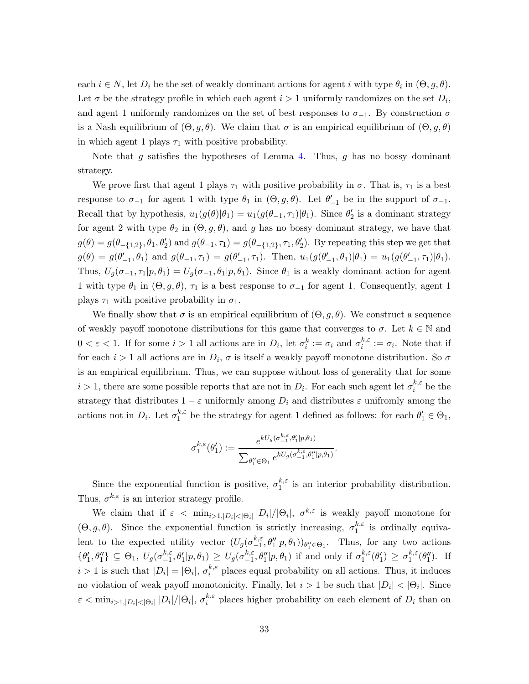each  $i \in N$ , let  $D_i$  be the set of weakly dominant actions for agent i with type  $\theta_i$  in  $(\Theta, g, \theta)$ . Let  $\sigma$  be the strategy profile in which each agent  $i > 1$  uniformly randomizes on the set  $D_i$ , and agent 1 uniformly randomizes on the set of best responses to  $\sigma_{-1}$ . By construction  $\sigma$ is a Nash equilibrium of  $(\Theta, g, \theta)$ . We claim that  $\sigma$  is an empirical equilibrium of  $(\Theta, g, \theta)$ in which agent 1 plays  $\tau_1$  with positive probability.

Note that g satisfies the hypotheses of Lemma [4.](#page-15-0) Thus, g has no bossy dominant strategy.

We prove first that agent 1 plays  $\tau_1$  with positive probability in  $\sigma$ . That is,  $\tau_1$  is a best response to  $\sigma_{-1}$  for agent 1 with type  $\theta_1$  in  $(\Theta, g, \theta)$ . Let  $\theta'_{-1}$  be in the support of  $\sigma_{-1}$ . Recall that by hypothesis,  $u_1(g(\theta)|\theta_1) = u_1(g(\theta_{-1}, \tau_1)|\theta_1)$ . Since  $\theta_2$  is a dominant strategy for agent 2 with type  $\theta_2$  in  $(\Theta, g, \theta)$ , and g has no bossy dominant strategy, we have that  $g(\theta) = g(\theta_{\{-1,2\}}, \theta_1, \theta_2')$  and  $g(\theta_{-1}, \tau_1) = g(\theta_{\{-1,2\}}, \tau_1, \theta_2').$  By repeating this step we get that  $g(\theta) = g(\theta'_{-1}, \theta_1)$  and  $g(\theta_{-1}, \tau_1) = g(\theta'_{-1}, \tau_1)$ . Then,  $u_1(g(\theta'_{-1}, \theta_1)|\theta_1) = u_1(g(\theta'_{-1}, \tau_1)|\theta_1)$ . Thus,  $U_g(\sigma_{-1}, \tau_1 | p, \theta_1) = U_g(\sigma_{-1}, \theta_1 | p, \theta_1)$ . Since  $\theta_1$  is a weakly dominant action for agent 1 with type  $\theta_1$  in  $(\Theta, g, \theta)$ ,  $\tau_1$  is a best response to  $\sigma_{-1}$  for agent 1. Consequently, agent 1 plays  $\tau_1$  with positive probability in  $\sigma_1$ .

We finally show that  $\sigma$  is an empirical equilibrium of  $(\Theta, g, \theta)$ . We construct a sequence of weakly payoff monotone distributions for this game that converges to  $\sigma$ . Let  $k \in \mathbb{N}$  and  $0 < \varepsilon < 1$ . If for some  $i > 1$  all actions are in  $D_i$ , let  $\sigma_i^k := \sigma_i$  and  $\sigma_i^{k,\varepsilon}$  $i^{k,\varepsilon} := \sigma_i$ . Note that if for each  $i > 1$  all actions are in  $D_i$ ,  $\sigma$  is itself a weakly payoff monotone distribution. So  $\sigma$ is an empirical equilibrium. Thus, we can suppose without loss of generality that for some  $i > 1$ , there are some possible reports that are not in  $D_i$ . For each such agent let  $\sigma_i^{k,\varepsilon}$  $i^{\kappa,\varepsilon}$  be the strategy that distributes  $1 - \varepsilon$  uniformly among  $D_i$  and distributes  $\varepsilon$  unifromly among the actions not in  $D_i$ . Let  $\sigma_1^{k,\varepsilon}$  $h_1^k$  be the strategy for agent 1 defined as follows: for each  $\theta'_1 \in \Theta_1$ ,

$$
\sigma_1^{k,\varepsilon}(\theta_1') := \frac{e^{kU_g(\sigma_{-1}^{k,\varepsilon},\theta_1'|p,\theta_1)}}{\sum_{\theta_1''\in\Theta_1}e^{kU_g(\sigma_{-1}^{k,\varepsilon},\theta_1''|p,\theta_1)}}.
$$

Since the exponential function is positive,  $\sigma_1^{k,\varepsilon}$  $\frac{\kappa}{1}$  is an interior probability distribution. Thus,  $\sigma^{k,\varepsilon}$  is an interior strategy profile.

We claim that if  $\varepsilon < \min_{i>1,|D_i|<|\Theta_i|} |D_i|/|\Theta_i|$ ,  $\sigma^{k,\varepsilon}$  is weakly payoff monotone for  $(\Theta, g, \theta)$ . Since the exponential function is strictly increasing,  $\sigma_1^{k,\epsilon}$  $i_1^{\kappa,\varepsilon}$  is ordinally equivalent to the expected utility vector  $(U_g(\sigma_{-1}^{k,\varepsilon}))$  $_{-1}^{k,\varepsilon}, \theta''_1|p,\theta_1)$   $_{\theta''_1 \in \Theta_1}$ . Thus, for any two actions  $\{\theta'_1,\theta''_1\}\subseteq \Theta_1, U_g(\sigma_{-1}^{k,\varepsilon})$  $\int_{-1}^{k,\varepsilon} \theta_1' |p,\theta_1\rangle \geq U_g(\sigma_{-1}^{k,\varepsilon})$  $_{-1}^{k, \varepsilon}, \theta''_1|p, \theta_1)$  if and only if  $\sigma_1^{k, \varepsilon}$  $\int_1^{k,\varepsilon}(\theta_1') \geq \sigma_1^{k,\varepsilon}$  $h_1^{k,\varepsilon}(\theta_1'')$ . If  $i > 1$  is such that  $|D_i| = |\Theta_i|, \sigma_i^{k,\varepsilon}$  $\binom{k,\varepsilon}{i}$  places equal probability on all actions. Thus, it induces no violation of weak payoff monotonicity. Finally, let  $i > 1$  be such that  $|D_i| < |\Theta_i|$ . Since  $\varepsilon < \min_{i>1,|D_i|<|\Theta_i|} |D_i|/|\Theta_i|, \ \sigma_i^{k,\varepsilon}$  $i_i^{\kappa,\varepsilon}$  places higher probability on each element of  $D_i$  than on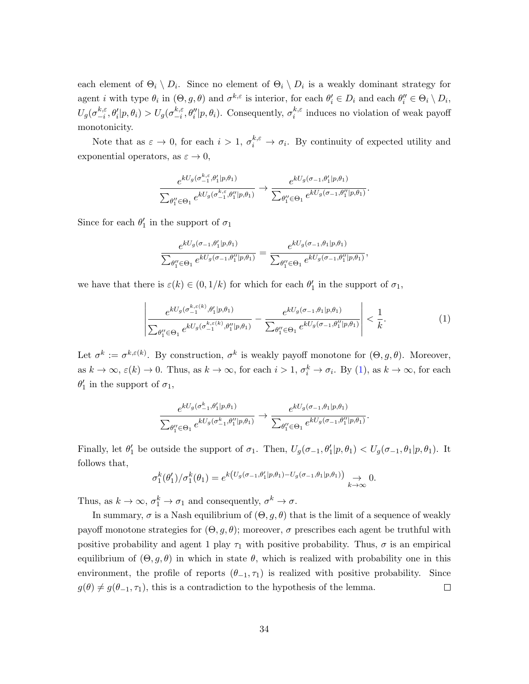each element of  $\Theta_i \setminus D_i$ . Since no element of  $\Theta_i \setminus D_i$  is a weakly dominant strategy for agent *i* with type  $\theta_i$  in  $(\Theta, g, \theta)$  and  $\sigma^{k,\varepsilon}$  is interior, for each  $\theta_i' \in D_i$  and each  $\theta_i'' \in \Theta_i \setminus D_i$ ,  $U_g(\sigma_{-i}^{k,\varepsilon}$  $_{-i}^{k,\varepsilon},\theta_{i}'|p,\theta_{i})>U_{g}(\sigma_{-i}^{k,\varepsilon}% ,\theta_{i}'|p,\theta_{i})\nonumber$  $_{-i}^{k,\varepsilon}, \theta''_i|p,\theta_i$ ). Consequently,  $\sigma_i^{k,\varepsilon}$  $i_i^{\kappa,\varepsilon}$  induces no violation of weak payoff monotonicity.

Note that as  $\varepsilon \to 0$ , for each  $i > 1$ ,  $\sigma_i^{k,\varepsilon} \to \sigma_i$ . By continuity of expected utility and exponential operators, as  $\varepsilon \to 0$ ,

$$
\frac{e^{kU_g(\sigma_{-1}^{k,\varepsilon},\theta_1'|p,\theta_1)}}{\sum_{\theta_1''\in\Theta_1}e^{kU_g(\sigma_{-1}^{k,\varepsilon},\theta_1''|p,\theta_1)}}\to\frac{e^{kU_g(\sigma_{-1},\theta_1'|p,\theta_1)}}{\sum_{\theta_1''\in\Theta_1}e^{kU_g(\sigma_{-1},\theta_1''|p,\theta_1)}}.
$$

Since for each  $\theta_1'$  in the support of  $\sigma_1$ 

$$
\frac{e^{kU_g(\sigma_{-1},\theta'_1|p,\theta_1)}}{\sum_{\theta''_1 \in \Theta_1} e^{kU_g(\sigma_{-1},\theta''_1|p,\theta_1)}} = \frac{e^{kU_g(\sigma_{-1},\theta_1|p,\theta_1)}}{\sum_{\theta''_1 \in \Theta_1} e^{kU_g(\sigma_{-1},\theta''_1|p,\theta_1)}},
$$

we have that there is  $\varepsilon(k) \in (0, 1/k)$  for which for each  $\theta'_1$  in the support of  $\sigma_1$ ,

<span id="page-34-0"></span>
$$
\left| \frac{e^{kU_g(\sigma_{-1}^{k,\varepsilon(k)},\theta_1'|p,\theta_1)}}{\sum_{\theta_1'' \in \Theta_1} e^{kU_g(\sigma_{-1}^{k,\varepsilon(k)},\theta_1''|p,\theta_1)}} - \frac{e^{kU_g(\sigma_{-1},\theta_1|p,\theta_1)}}{\sum_{\theta_1'' \in \Theta_1} e^{kU_g(\sigma_{-1},\theta_1''|p,\theta_1)}} \right| < \frac{1}{k}.
$$
\n(1)

Let  $\sigma^k := \sigma^{k,\varepsilon(k)}$ . By construction,  $\sigma^k$  is weakly payoff monotone for  $(\Theta, g, \theta)$ . Moreover, as  $k \to \infty$ ,  $\varepsilon(k) \to 0$ . Thus, as  $k \to \infty$ , for each  $i > 1$ ,  $\sigma_i^k \to \sigma_i$ . By [\(1\)](#page-34-0), as  $k \to \infty$ , for each  $\theta_1'$  in the support of  $\sigma_1$ ,

$$
\frac{e^{kU_g(\sigma_{-1}^k,\theta_1'|p,\theta_1)}}{\sum_{\theta_1''\in\Theta_1}e^{kU_g(\sigma_{-1}^k,\theta_1''|p,\theta_1)}}\to\frac{e^{kU_g(\sigma_{-1},\theta_1|p,\theta_1)}}{\sum_{\theta_1''\in\Theta_1}e^{kU_g(\sigma_{-1},\theta_1''|p,\theta_1)}}.
$$

Finally, let  $\theta'_1$  be outside the support of  $\sigma_1$ . Then,  $U_g(\sigma_{-1}, \theta'_1 | p, \theta_1) < U_g(\sigma_{-1}, \theta_1 | p, \theta_1)$ . It follows that,

$$
\sigma_1^k(\theta_1')/\sigma_1^k(\theta_1) = e^{k\left(U_g(\sigma_{-1},\theta_1'|p,\theta_1) - U_g(\sigma_{-1},\theta_1|p,\theta_1)\right)} \underset{k \to \infty}{\to} 0.
$$

Thus, as  $k \to \infty$ ,  $\sigma_1^k \to \sigma_1$  and consequently,  $\sigma^k \to \sigma$ .

In summary,  $\sigma$  is a Nash equilibrium of  $(\Theta, g, \theta)$  that is the limit of a sequence of weakly payoff monotone strategies for  $(\Theta, g, \theta)$ ; moreover, σ prescribes each agent be truthful with positive probability and agent 1 play  $\tau_1$  with positive probability. Thus,  $\sigma$  is an empirical equilibrium of  $(\Theta, g, \theta)$  in which in state  $\theta$ , which is realized with probability one in this environment, the profile of reports  $(\theta_{-1}, \tau_1)$  is realized with positive probability. Since  $g(\theta) \neq g(\theta_{-1}, \tau_1)$ , this is a contradiction to the hypothesis of the lemma.  $\Box$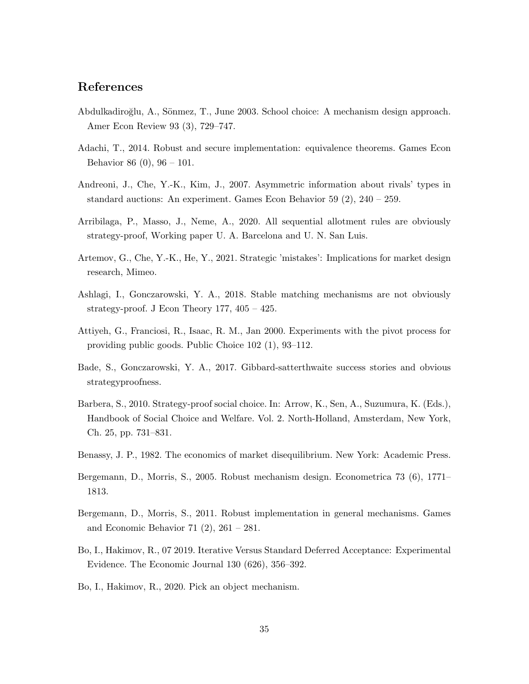# References

- <span id="page-35-5"></span>Abdulkadiroğlu, A., Sönmez, T., June 2003. School choice: A mechanism design approach. Amer Econ Review 93 (3), 729–747.
- <span id="page-35-7"></span>Adachi, T., 2014. Robust and secure implementation: equivalence theorems. Games Econ Behavior 86 (0), 96 – 101.
- <span id="page-35-2"></span>Andreoni, J., Che, Y.-K., Kim, J., 2007. Asymmetric information about rivals' types in standard auctions: An experiment. Games Econ Behavior 59 (2), 240 – 259.
- <span id="page-35-8"></span>Arribilaga, P., Masso, J., Neme, A., 2020. All sequential allotment rules are obviously strategy-proof, Working paper U. A. Barcelona and U. N. San Luis.
- <span id="page-35-3"></span>Artemov, G., Che, Y.-K., He, Y., 2021. Strategic 'mistakes': Implications for market design research, Mimeo.
- <span id="page-35-9"></span>Ashlagi, I., Gonczarowski, Y. A., 2018. Stable matching mechanisms are not obviously strategy-proof. J Econ Theory 177,  $405 - 425$ .
- <span id="page-35-1"></span>Attiyeh, G., Franciosi, R., Isaac, R. M., Jan 2000. Experiments with the pivot process for providing public goods. Public Choice 102 (1), 93–112.
- <span id="page-35-10"></span>Bade, S., Gonczarowski, Y. A., 2017. Gibbard-satterthwaite success stories and obvious strategyproofness.
- <span id="page-35-0"></span>Barbera, S., 2010. Strategy-proof social choice. In: Arrow, K., Sen, A., Suzumura, K. (Eds.), Handbook of Social Choice and Welfare. Vol. 2. North-Holland, Amsterdam, New York, Ch. 25, pp. 731–831.
- <span id="page-35-4"></span>Benassy, J. P., 1982. The economics of market disequilibrium. New York: Academic Press.
- <span id="page-35-13"></span>Bergemann, D., Morris, S., 2005. Robust mechanism design. Econometrica 73 (6), 1771– 1813.
- <span id="page-35-6"></span>Bergemann, D., Morris, S., 2011. Robust implementation in general mechanisms. Games and Economic Behavior 71 (2), 261 – 281.
- <span id="page-35-11"></span>Bo, I., Hakimov, R., 07 2019. Iterative Versus Standard Deferred Acceptance: Experimental Evidence. The Economic Journal 130 (626), 356–392.
- <span id="page-35-12"></span>Bo, I., Hakimov, R., 2020. Pick an object mechanism.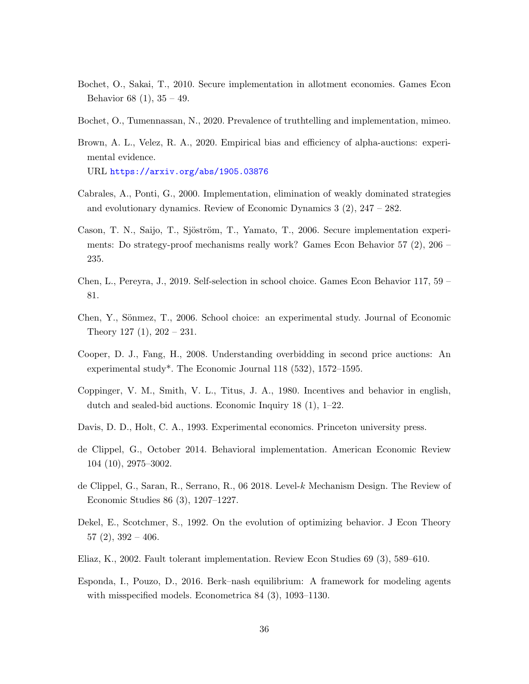- <span id="page-36-6"></span>Bochet, O., Sakai, T., 2010. Secure implementation in allotment economies. Games Econ Behavior 68  $(1), 35 - 49.$
- <span id="page-36-12"></span>Bochet, O., Tumennassan, N., 2020. Prevalence of truthtelling and implementation, mimeo.
- <span id="page-36-13"></span>Brown, A. L., Velez, R. A., 2020. Empirical bias and efficiency of alpha-auctions: experimental evidence. URL <https://arxiv.org/abs/1905.03876>
- 
- <span id="page-36-7"></span>Cabrales, A., Ponti, G., 2000. Implementation, elimination of weakly dominated strategies and evolutionary dynamics. Review of Economic Dynamics 3 (2), 247 – 282.
- <span id="page-36-0"></span>Cason, T. N., Saijo, T., Sjöström, T., Yamato, T., 2006. Secure implementation experiments: Do strategy-proof mechanisms really work? Games Econ Behavior 57 (2), 206 – 235.
- <span id="page-36-3"></span>Chen, L., Pereyra, J., 2019. Self-selection in school choice. Games Econ Behavior 117, 59 – 81.
- <span id="page-36-1"></span>Chen, Y., Sönmez, T., 2006. School choice: an experimental study. Journal of Economic Theory 127  $(1)$ , 202 – 231.
- <span id="page-36-14"></span>Cooper, D. J., Fang, H., 2008. Understanding overbidding in second price auctions: An experimental study\*. The Economic Journal 118 (532), 1572–1595.
- <span id="page-36-2"></span>Coppinger, V. M., Smith, V. L., Titus, J. A., 1980. Incentives and behavior in english, dutch and sealed-bid auctions. Economic Inquiry 18 (1), 1–22.
- <span id="page-36-5"></span>Davis, D. D., Holt, C. A., 1993. Experimental economics. Princeton university press.
- <span id="page-36-9"></span>de Clippel, G., October 2014. Behavioral implementation. American Economic Review 104 (10), 2975–3002.
- <span id="page-36-10"></span>de Clippel, G., Saran, R., Serrano, R., 06 2018. Level-k Mechanism Design. The Review of Economic Studies 86 (3), 1207–1227.
- <span id="page-36-4"></span>Dekel, E., Scotchmer, S., 1992. On the evolution of optimizing behavior. J Econ Theory  $57(2), 392 - 406.$
- <span id="page-36-8"></span>Eliaz, K., 2002. Fault tolerant implementation. Review Econ Studies 69 (3), 589–610.
- <span id="page-36-11"></span>Esponda, I., Pouzo, D., 2016. Berk–nash equilibrium: A framework for modeling agents with misspecified models. Econometrica 84 (3), 1093–1130.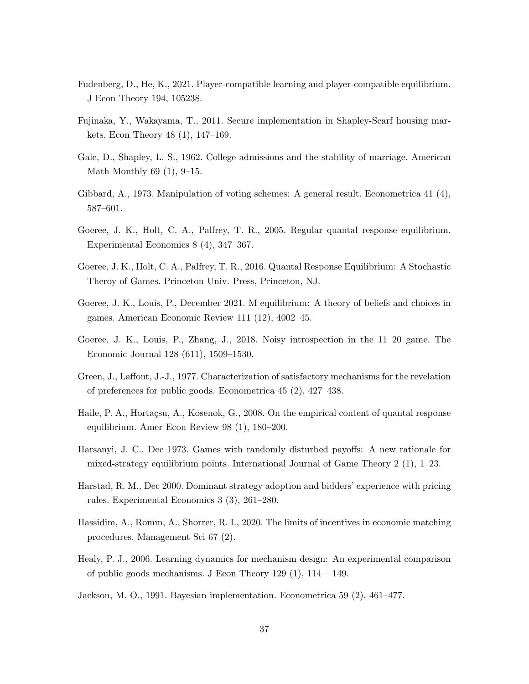- <span id="page-37-4"></span>Fudenberg, D., He, K., 2021. Player-compatible learning and player-compatible equilibrium. J Econ Theory 194, 105238.
- <span id="page-37-12"></span>Fujinaka, Y., Wakayama, T., 2011. Secure implementation in Shapley-Scarf housing markets. Econ Theory 48 (1), 147–169.
- <span id="page-37-11"></span>Gale, D., Shapley, L. S., 1962. College admissions and the stability of marriage. American Math Monthly 69 (1), 9–15.
- <span id="page-37-0"></span>Gibbard, A., 1973. Manipulation of voting schemes: A general result. Econometrica 41 (4), 587–601.
- <span id="page-37-7"></span>Goeree, J. K., Holt, C. A., Palfrey, T. R., 2005. Regular quantal response equilibrium. Experimental Economics 8 (4), 347–367.
- <span id="page-37-9"></span>Goeree, J. K., Holt, C. A., Palfrey, T. R., 2016. Quantal Response Equilibrium: A Stochastic Theroy of Games. Princeton Univ. Press, Princeton, NJ.
- <span id="page-37-13"></span>Goeree, J. K., Louis, P., December 2021. M equilibrium: A theory of beliefs and choices in games. American Economic Review 111 (12), 4002–45.
- <span id="page-37-6"></span>Goeree, J. K., Louis, P., Zhang, J., 2018. Noisy introspection in the 11–20 game. The Economic Journal 128 (611), 1509–1530.
- <span id="page-37-10"></span>Green, J., Laffont, J.-J., 1977. Characterization of satisfactory mechanisms for the revelation of preferences for public goods. Econometrica 45 (2), 427–438.
- <span id="page-37-8"></span>Haile, P. A., Hortaçsu, A., Kosenok, G., 2008. On the empirical content of quantal response equilibrium. Amer Econ Review 98 (1), 180–200.
- <span id="page-37-5"></span>Harsanyi, J. C., Dec 1973. Games with randomly disturbed payoffs: A new rationale for mixed-strategy equilibrium points. International Journal of Game Theory 2 (1), 1–23.
- <span id="page-37-2"></span>Harstad, R. M., Dec 2000. Dominant strategy adoption and bidders' experience with pricing rules. Experimental Economics 3 (3), 261–280.
- <span id="page-37-3"></span>Hassidim, A., Romm, A., Shorrer, R. I., 2020. The limits of incentives in economic matching procedures. Management Sci 67 (2).
- <span id="page-37-1"></span>Healy, P. J., 2006. Learning dynamics for mechanism design: An experimental comparison of public goods mechanisms. J Econ Theory 129  $(1)$ , 114 – 149.
- <span id="page-37-14"></span>Jackson, M. O., 1991. Bayesian implementation. Econometrica 59 (2), 461–477.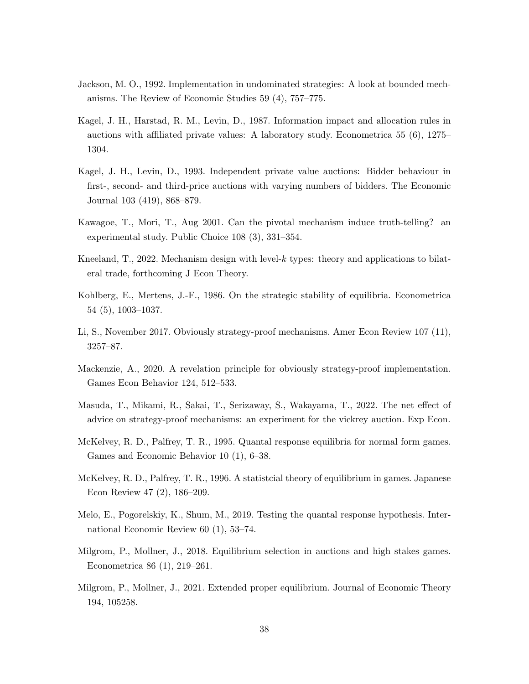- <span id="page-38-9"></span>Jackson, M. O., 1992. Implementation in undominated strategies: A look at bounded mechanisms. The Review of Economic Studies 59 (4), 757–775.
- <span id="page-38-1"></span>Kagel, J. H., Harstad, R. M., Levin, D., 1987. Information impact and allocation rules in auctions with affiliated private values: A laboratory study. Econometrica 55 (6), 1275– 1304.
- <span id="page-38-2"></span>Kagel, J. H., Levin, D., 1993. Independent private value auctions: Bidder behaviour in first-, second- and third-price auctions with varying numbers of bidders. The Economic Journal 103 (419), 868–879.
- <span id="page-38-12"></span>Kawagoe, T., Mori, T., Aug 2001. Can the pivotal mechanism induce truth-telling? an experimental study. Public Choice 108 (3), 331–354.
- <span id="page-38-11"></span>Kneeland, T., 2022. Mechanism design with level- $k$  types: theory and applications to bilateral trade, forthcoming J Econ Theory.
- <span id="page-38-4"></span>Kohlberg, E., Mertens, J.-F., 1986. On the strategic stability of equilibria. Econometrica 54 (5), 1003–1037.
- <span id="page-38-0"></span>Li, S., November 2017. Obviously strategy-proof mechanisms. Amer Econ Review 107 (11), 3257–87.
- <span id="page-38-10"></span>Mackenzie, A., 2020. A revelation principle for obviously strategy-proof implementation. Games Econ Behavior 124, 512–533.
- <span id="page-38-3"></span>Masuda, T., Mikami, R., Sakai, T., Serizaway, S., Wakayama, T., 2022. The net effect of advice on strategy-proof mechanisms: an experiment for the vickrey auction. Exp Econ.
- <span id="page-38-7"></span>McKelvey, R. D., Palfrey, T. R., 1995. Quantal response equilibria for normal form games. Games and Economic Behavior 10 (1), 6–38.
- <span id="page-38-8"></span>McKelvey, R. D., Palfrey, T. R., 1996. A statistcial theory of equilibrium in games. Japanese Econ Review 47 (2), 186–209.
- <span id="page-38-13"></span>Melo, E., Pogorelskiy, K., Shum, M., 2019. Testing the quantal response hypothesis. International Economic Review 60 (1), 53–74.
- <span id="page-38-6"></span>Milgrom, P., Mollner, J., 2018. Equilibrium selection in auctions and high stakes games. Econometrica 86 (1), 219–261.
- <span id="page-38-5"></span>Milgrom, P., Mollner, J., 2021. Extended proper equilibrium. Journal of Economic Theory 194, 105258.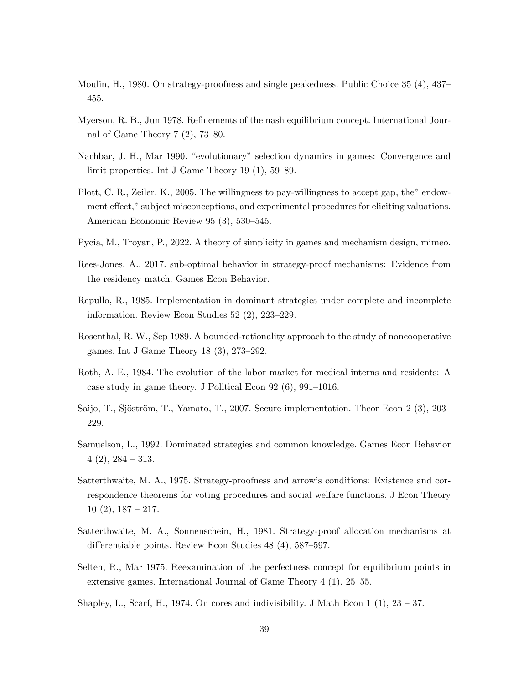- <span id="page-39-8"></span>Moulin, H., 1980. On strategy-proofness and single peakedness. Public Choice 35 (4), 437– 455.
- <span id="page-39-3"></span>Myerson, R. B., Jun 1978. Refinements of the nash equilibrium concept. International Journal of Game Theory 7 (2), 73–80.
- <span id="page-39-4"></span>Nachbar, J. H., Mar 1990. "evolutionary" selection dynamics in games: Convergence and limit properties. Int J Game Theory 19 (1), 59–89.
- <span id="page-39-6"></span>Plott, C. R., Zeiler, K., 2005. The willingness to pay-willingness to accept gap, the" endowment effect," subject misconceptions, and experimental procedures for eliciting valuations. American Economic Review 95 (3), 530–545.
- <span id="page-39-11"></span>Pycia, M., Troyan, P., 2022. A theory of simplicity in games and mechanism design, mimeo.
- <span id="page-39-1"></span>Rees-Jones, A., 2017. sub-optimal behavior in strategy-proof mechanisms: Evidence from the residency match. Games Econ Behavior.
- <span id="page-39-10"></span>Repullo, R., 1985. Implementation in dominant strategies under complete and incomplete information. Review Econ Studies 52 (2), 223–229.
- <span id="page-39-14"></span>Rosenthal, R. W., Sep 1989. A bounded-rationality approach to the study of noncooperative games. Int J Game Theory 18 (3), 273–292.
- <span id="page-39-13"></span>Roth, A. E., 1984. The evolution of the labor market for medical interns and residents: A case study in game theory. J Political Econ 92 (6), 991–1016.
- <span id="page-39-9"></span>Saijo, T., Sjöström, T., Yamato, T., 2007. Secure implementation. Theor Econ 2 (3), 203– 229.
- <span id="page-39-5"></span>Samuelson, L., 1992. Dominated strategies and common knowledge. Games Econ Behavior  $4(2), 284 - 313.$
- <span id="page-39-0"></span>Satterthwaite, M. A., 1975. Strategy-proofness and arrow's conditions: Existence and correspondence theorems for voting procedures and social welfare functions. J Econ Theory  $10(2), 187 - 217.$
- <span id="page-39-12"></span>Satterthwaite, M. A., Sonnenschein, H., 1981. Strategy-proof allocation mechanisms at differentiable points. Review Econ Studies 48 (4), 587–597.
- <span id="page-39-2"></span>Selten, R., Mar 1975. Reexamination of the perfectness concept for equilibrium points in extensive games. International Journal of Game Theory 4 (1), 25–55.
- <span id="page-39-7"></span>Shapley, L., Scarf, H., 1974. On cores and indivisibility. J Math Econ 1 (1), 23 – 37.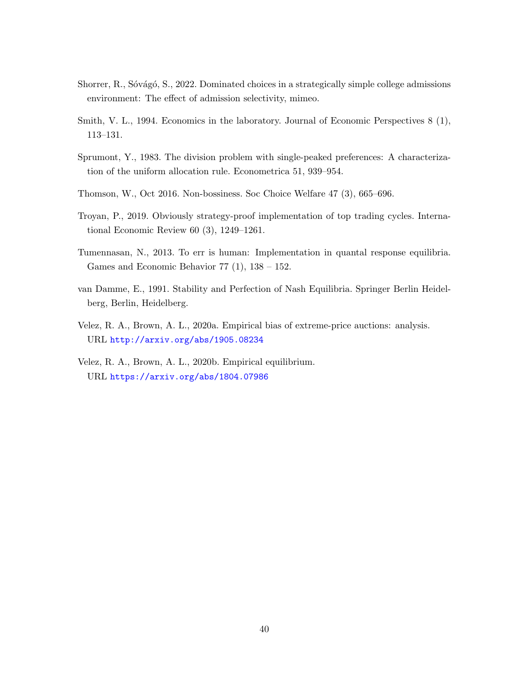- <span id="page-40-0"></span>Shorrer, R., Sóvágó, S., 2022. Dominated choices in a strategically simple college admissions environment: The effect of admission selectivity, mimeo.
- <span id="page-40-7"></span>Smith, V. L., 1994. Economics in the laboratory. Journal of Economic Perspectives 8 (1), 113–131.
- <span id="page-40-3"></span>Sprumont, Y., 1983. The division problem with single-peaked preferences: A characterization of the uniform allocation rule. Econometrica 51, 939–954.
- <span id="page-40-6"></span>Thomson, W., Oct 2016. Non-bossiness. Soc Choice Welfare 47 (3), 665–696.
- <span id="page-40-4"></span>Troyan, P., 2019. Obviously strategy-proof implementation of top trading cycles. International Economic Review 60 (3), 1249–1261.
- <span id="page-40-5"></span>Tumennasan, N., 2013. To err is human: Implementation in quantal response equilibria. Games and Economic Behavior  $77$   $(1)$ ,  $138 - 152$ .
- <span id="page-40-1"></span>van Damme, E., 1991. Stability and Perfection of Nash Equilibria. Springer Berlin Heidelberg, Berlin, Heidelberg.
- <span id="page-40-8"></span>Velez, R. A., Brown, A. L., 2020a. Empirical bias of extreme-price auctions: analysis. URL <http://arxiv.org/abs/1905.08234>
- <span id="page-40-2"></span>Velez, R. A., Brown, A. L., 2020b. Empirical equilibrium. URL <https://arxiv.org/abs/1804.07986>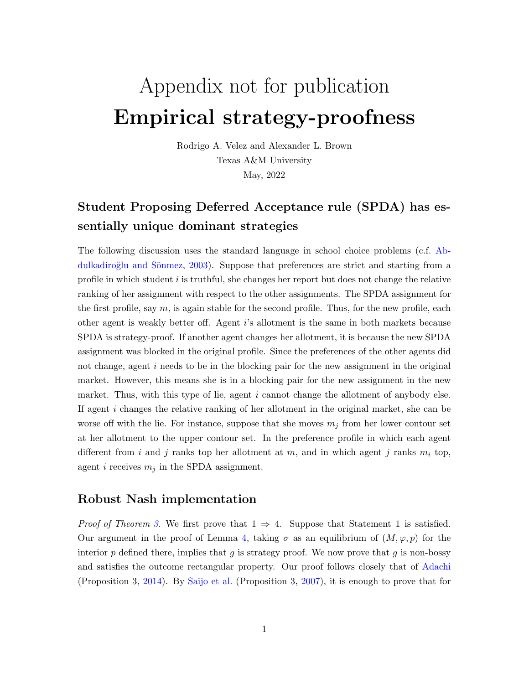# Appendix not for publication Empirical strategy-proofness

Rodrigo A. Velez and Alexander L. Brown Texas A&M University May, 2022

# Student Proposing Deferred Acceptance rule (SPDA) has essentially unique dominant strategies

The following discussion uses the standard language in school choice problems (c.f. [Ab-](#page-35-5)dulkadiroğlu and Sönmez, [2003\)](#page-35-5). Suppose that preferences are strict and starting from a profile in which student  $i$  is truthful, she changes her report but does not change the relative ranking of her assignment with respect to the other assignments. The SPDA assignment for the first profile, say  $m$ , is again stable for the second profile. Thus, for the new profile, each other agent is weakly better off. Agent i's allotment is the same in both markets because SPDA is strategy-proof. If another agent changes her allotment, it is because the new SPDA assignment was blocked in the original profile. Since the preferences of the other agents did not change, agent i needs to be in the blocking pair for the new assignment in the original market. However, this means she is in a blocking pair for the new assignment in the new market. Thus, with this type of lie, agent  $i$  cannot change the allotment of anybody else. If agent i changes the relative ranking of her allotment in the original market, she can be worse off with the lie. For instance, suppose that she moves  $m_j$  from her lower contour set at her allotment to the upper contour set. In the preference profile in which each agent different from i and j ranks top her allotment at m, and in which agent j ranks  $m_i$  top, agent i receives  $m_i$  in the SPDA assignment.

## Robust Nash implementation

*Proof of Theorem [3.](#page-17-0)* We first prove that  $1 \Rightarrow 4$ . Suppose that Statement 1 is satisfied. Our argument in the proof of Lemma [4,](#page-15-0) taking  $\sigma$  as an equilibrium of  $(M, \varphi, p)$  for the interior  $p$  defined there, implies that  $q$  is strategy proof. We now prove that  $q$  is non-bossy and satisfies the outcome rectangular property. Our proof follows closely that of [Adachi](#page-35-7) (Proposition 3, [2014\)](#page-35-7). By [Saijo et al.](#page-39-9) (Proposition 3, [2007\)](#page-39-9), it is enough to prove that for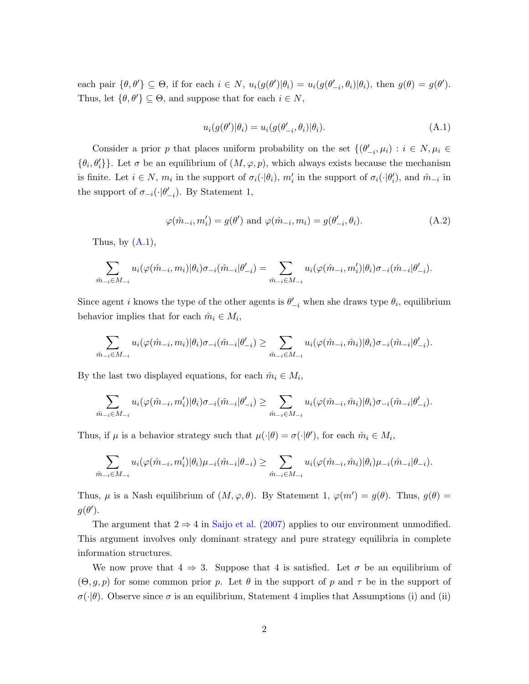each pair  $\{\theta, \theta'\} \subseteq \Theta$ , if for each  $i \in N$ ,  $u_i(g(\theta')|\theta_i) = u_i(g(\theta'_{-i}, \theta_i)|\theta_i)$ , then  $g(\theta) = g(\theta')$ . Thus, let  $\{\theta, \theta'\} \subseteq \Theta$ , and suppose that for each  $i \in N$ ,

<span id="page-42-0"></span>
$$
u_i(g(\theta')|\theta_i) = u_i(g(\theta'_{-i}, \theta_i)|\theta_i). \tag{A.1}
$$

Consider a prior p that places uniform probability on the set  $\{(\theta'_{-i}, \mu_i) : i \in N, \mu_i \in$  $\{\theta_i, \theta'_i\}$ . Let  $\sigma$  be an equilibrium of  $(M, \varphi, p)$ , which always exists because the mechanism is finite. Let  $i \in N$ ,  $m_i$  in the support of  $\sigma_i(\cdot|\theta_i)$ ,  $m'_i$  in the support of  $\sigma_i(\cdot|\theta'_i)$ , and  $\hat{m}_{-i}$  in the support of  $\sigma_{-i}(\cdot|\theta'_{-i})$ . By Statement 1,

$$
\varphi(\hat{m}_{-i}, m'_i) = g(\theta') \text{ and } \varphi(\hat{m}_{-i}, m_i) = g(\theta'_{-i}, \theta_i). \tag{A.2}
$$

Thus, by  $(A.1)$ ,

$$
\sum_{\hat{m}_{-i}\in M_{-i}} u_i(\varphi(\hat{m}_{-i},m_i)|\theta_i)\sigma_{-i}(\hat{m}_{-i}|\theta'_{-i}) = \sum_{\hat{m}_{-i}\in M_{-i}} u_i(\varphi(\hat{m}_{-i},m'_i)|\theta_i)\sigma_{-i}(\hat{m}_{-i}|\theta'_{-i}).
$$

Since agent *i* knows the type of the other agents is  $\theta'_{-i}$  when she draws type  $\theta_i$ , equilibrium behavior implies that for each  $\hat{m}_i \in M_i$ ,

$$
\sum_{\hat{m}_{-i}\in M_{-i}} u_i(\varphi(\hat{m}_{-i},m_i)|\theta_i)\sigma_{-i}(\hat{m}_{-i}|\theta'_{-i}) \ge \sum_{\hat{m}_{-i}\in M_{-i}} u_i(\varphi(\hat{m}_{-i},\hat{m}_i)|\theta_i)\sigma_{-i}(\hat{m}_{-i}|\theta'_{-i}).
$$

By the last two displayed equations, for each  $\hat{m}_i \in M_i$ ,

$$
\sum_{\hat{m}_{-i}\in M_{-i}} u_i(\varphi(\hat{m}_{-i},m_i')|\theta_i)\sigma_{-i}(\hat{m}_{-i}|\theta_{-i}') \ge \sum_{\hat{m}_{-i}\in M_{-i}} u_i(\varphi(\hat{m}_{-i},\hat{m}_i)|\theta_i)\sigma_{-i}(\hat{m}_{-i}|\theta_{-i}').
$$

Thus, if  $\mu$  is a behavior strategy such that  $\mu(\cdot|\theta) = \sigma(\cdot|\theta')$ , for each  $\hat{m}_i \in M_i$ ,

$$
\sum_{\hat{m}_{-i}\in M_{-i}} u_i(\varphi(\hat{m}_{-i},m_i')|\theta_i)\mu_{-i}(\hat{m}_{-i}|\theta_{-i}) \ge \sum_{\hat{m}_{-i}\in M_{-i}} u_i(\varphi(\hat{m}_{-i},\hat{m}_i)|\theta_i)\mu_{-i}(\hat{m}_{-i}|\theta_{-i}).
$$

Thus,  $\mu$  is a Nash equilibrium of  $(M, \varphi, \theta)$ . By Statement 1,  $\varphi(m') = g(\theta)$ . Thus,  $g(\theta) =$  $g(\theta')$ .

The argument that  $2 \Rightarrow 4$  in [Saijo et al.](#page-39-9) [\(2007\)](#page-39-9) applies to our environment unmodified. This argument involves only dominant strategy and pure strategy equilibria in complete information structures.

We now prove that  $4 \Rightarrow 3$ . Suppose that 4 is satisfied. Let  $\sigma$  be an equilibrium of  $(\Theta, q, p)$  for some common prior p. Let  $\theta$  in the support of p and  $\tau$  be in the support of  $\sigma(\cdot|\theta)$ . Observe since  $\sigma$  is an equilibrium, Statement 4 implies that Assumptions (i) and (ii)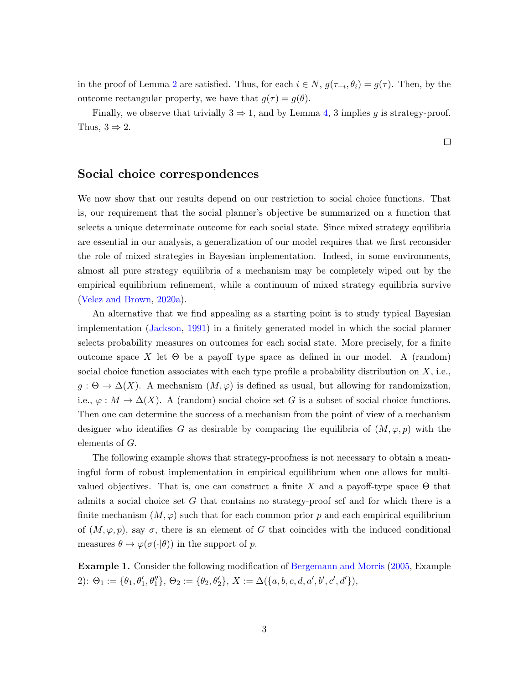in the proof of Lemma [2](#page-14-1) are satisfied. Thus, for each  $i \in N$ ,  $g(\tau_{-i}, \theta_i) = g(\tau)$ . Then, by the outcome rectangular property, we have that  $g(\tau) = g(\theta)$ .

Finally, we observe that trivially  $3 \Rightarrow 1$ , and by Lemma [4,](#page-15-0) 3 implies g is strategy-proof. Thus,  $3 \Rightarrow 2$ .

## Social choice correspondences

We now show that our results depend on our restriction to social choice functions. That is, our requirement that the social planner's objective be summarized on a function that selects a unique determinate outcome for each social state. Since mixed strategy equilibria are essential in our analysis, a generalization of our model requires that we first reconsider the role of mixed strategies in Bayesian implementation. Indeed, in some environments, almost all pure strategy equilibria of a mechanism may be completely wiped out by the empirical equilibrium refinement, while a continuum of mixed strategy equilibria survive [\(Velez and Brown,](#page-40-8) [2020a\)](#page-40-8).

An alternative that we find appealing as a starting point is to study typical Bayesian implementation [\(Jackson,](#page-37-14) [1991\)](#page-37-14) in a finitely generated model in which the social planner selects probability measures on outcomes for each social state. More precisely, for a finite outcome space X let  $\Theta$  be a payoff type space as defined in our model. A (random) social choice function associates with each type profile a probability distribution on  $X$ , i.e.,  $g: \Theta \to \Delta(X)$ . A mechanism  $(M, \varphi)$  is defined as usual, but allowing for randomization, i.e.,  $\varphi : M \to \Delta(X)$ . A (random) social choice set G is a subset of social choice functions. Then one can determine the success of a mechanism from the point of view of a mechanism designer who identifies G as desirable by comparing the equilibria of  $(M, \varphi, p)$  with the elements of G.

The following example shows that strategy-proofness is not necessary to obtain a meaningful form of robust implementation in empirical equilibrium when one allows for multivalued objectives. That is, one can construct a finite X and a payoff-type space  $\Theta$  that admits a social choice set G that contains no strategy-proof scf and for which there is a finite mechanism  $(M, \varphi)$  such that for each common prior p and each empirical equilibrium of  $(M, \varphi, p)$ , say  $\sigma$ , there is an element of G that coincides with the induced conditional measures  $\theta \mapsto \varphi(\sigma(\cdot|\theta))$  in the support of p.

<span id="page-43-0"></span>Example 1. Consider the following modification of [Bergemann and Morris](#page-35-13) [\(2005,](#page-35-13) Example 2):  $\Theta_1 := \{ \theta_1, \theta_1', \theta_1'' \}, \Theta_2 := \{ \theta_2, \theta_2' \}, X := \Delta(\{a, b, c, d, a', b', c', d' \}),$ 

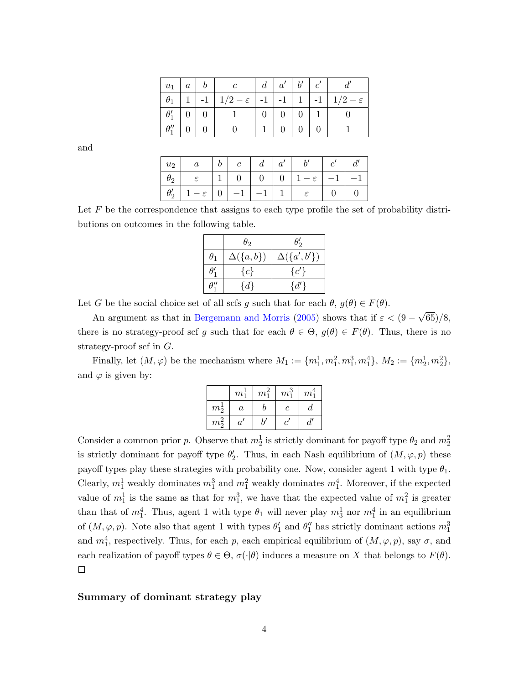|                  | $u_1 \mid a \mid b$ |                                                                                    | $\mid d \mid a' \mid b' \mid$ |                   | c' |  |
|------------------|---------------------|------------------------------------------------------------------------------------|-------------------------------|-------------------|----|--|
|                  |                     | $\theta_1$   1   -1   1/2 – $\varepsilon$   -1   -1   1   -1   1/2 – $\varepsilon$ |                               |                   |    |  |
|                  | $\theta_1'$   0   0 |                                                                                    | $0 \mid 0 \mid 0 \mid$        |                   |    |  |
| $\theta_1''$ 0 0 |                     |                                                                                    |                               | $0 \mid 0 \mid 0$ |    |  |

and

| $ u_2 $     | $\alpha$       | $\mathfrak{b}$  |      | $a^{\prime}$            |               |      | $\mathfrak{a}^r$ |
|-------------|----------------|-----------------|------|-------------------------|---------------|------|------------------|
| $\theta_2$  |                | $1 \ 0 \ 0 \ 0$ |      | $\cdot$ - $\varepsilon$ |               | $-1$ |                  |
| $\theta_2'$ | $-\varepsilon$ |                 | $-1$ |                         | $\varepsilon$ |      |                  |

Let  $F$  be the correspondence that assigns to each type profile the set of probability distributions on outcomes in the following table.

|             | $\theta_2$      | $\theta_2'$       |
|-------------|-----------------|-------------------|
| $\theta_1$  | $\Delta({a,b})$ | $\Delta({a',b'})$ |
| $\theta_1'$ | ${c}$           | ${c'}$            |
|             | $\{d\}$         | $\{d'\}\$         |

Let G be the social choice set of all scfs g such that for each  $\theta$ ,  $g(\theta) \in F(\theta)$ .

An argument as that in [Bergemann and Morris](#page-35-13) [\(2005\)](#page-35-13) shows that if  $\varepsilon < (9 -$ √ 65)/8, there is no strategy-proof scf g such that for each  $\theta \in \Theta$ ,  $g(\theta) \in F(\theta)$ . Thus, there is no strategy-proof scf in G.

Finally, let  $(M, \varphi)$  be the mechanism where  $M_1 := \{m_1^1, m_1^2, m_1^3, m_1^4\}, M_2 := \{m_2^1, m_2^2\},$ and  $\varphi$  is given by:

|               | $m_1^1$ | $m_1^2$ | $m_1$ | $m_1^*$ |
|---------------|---------|---------|-------|---------|
| $m_2^{\star}$ | $\it a$ |         | C     |         |
| $m_2^2$       | $\it a$ |         |       |         |

Consider a common prior p. Observe that  $m_2^1$  is strictly dominant for payoff type  $\theta_2$  and  $m_2^2$ is strictly dominant for payoff type  $\theta_2'$ . Thus, in each Nash equilibrium of  $(M, \varphi, p)$  these payoff types play these strategies with probability one. Now, consider agent 1 with type  $\theta_1$ . Clearly,  $m_1^1$  weakly dominates  $m_1^3$  and  $m_1^2$  weakly dominates  $m_1^4$ . Moreover, if the expected value of  $m_1^1$  is the same as that for  $m_1^3$ , we have that the expected value of  $m_1^2$  is greater than that of  $m_1^4$ . Thus, agent 1 with type  $\theta_1$  will never play  $m_3^1$  nor  $m_1^4$  in an equilibrium of  $(M, \varphi, p)$ . Note also that agent 1 with types  $\theta'_1$  and  $\theta''_1$  has strictly dominant actions  $m_1^3$ and  $m_1^4$ , respectively. Thus, for each p, each empirical equilibrium of  $(M, \varphi, p)$ , say  $\sigma$ , and each realization of payoff types  $\theta \in \Theta$ ,  $\sigma(\cdot | \theta)$  induces a measure on X that belongs to  $F(\theta)$ .  $\Box$ 

#### Summary of dominant strategy play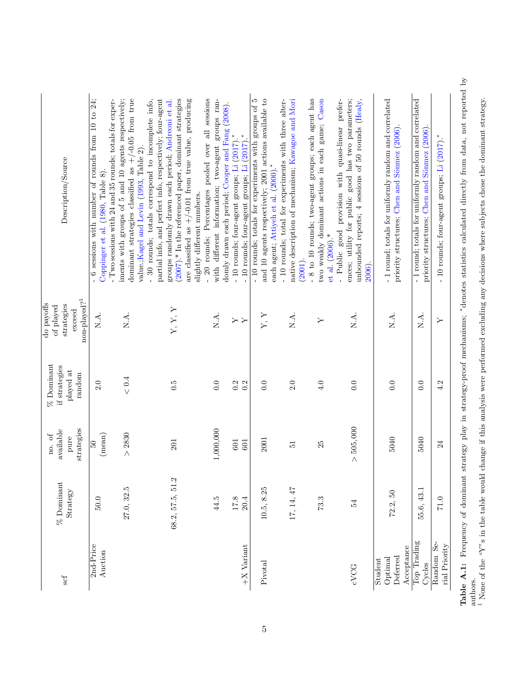<span id="page-45-0"></span>

| Description/Source                                                                               | 6 sessions with number of rounds from 10 to 24;<br>Two sessions with 24 and 35 rounds; totals for exper-<br>Coppinger et al. (1980, Table 8) | iments with groups of 5 and 10 agents respectively;<br>$/ -0.05$ from true<br>partial info, and perfect info, respectively; four-agent<br>- 30 rounds; totals correspond to incomplete info,<br>value.; Kagel and Levin (1993, Table 2).<br>dominant strategies classified as $+$ / | (2007).* In the referenced paper, dominant strategies<br>are classified as $+/-0.01$ from true value, producing<br>- 20 rounds; Percentages pooled over all sessions<br>groups randomly drawn each period; Andreoni et al.<br>slightly different numbers. | different information; two-agent groups ran-<br>domly drawn each period; Cooper and Fang (2008).<br>with | $\ast$<br>$\ast$<br>- 10 rounds; four-agent groups; Li (2017) | groups; Li (2017).<br>- 10 rounds; four-agent | -10 rounds; totals for experiments with groups of 5<br>and 10 agents respectively; 2001 actions available to | native description of mechanism; Kawagoe and Mori<br>-10 rounds; total for experiments with three alter-<br>each agent; Attiyeh et al. (2000)<br>(2001) | - 8 to 10 rounds; two-agent groups; each agent has<br>two weakly dominant actions in each game; Cason<br>et al. $(2006)$ .* | ences; utility for public good has two parameters;<br>unbounded reports; 4 sessions of 50 rounds (Healy,<br>prefer-<br>good provision with quasi-linear<br>- Public<br>2006). | - 1 round; totals for uniformly random and correlated<br>priority structures; Chen and Sönmez (2006). | -1 round; totals for uniformly random and correlated<br>priority structures; Chen and Sönmez (2006). | - 10 rounds; four-agent groups; Li (2017)<br>مغطط<br>*Jameta atatistica alatalata lingualu fuono |
|--------------------------------------------------------------------------------------------------|----------------------------------------------------------------------------------------------------------------------------------------------|-------------------------------------------------------------------------------------------------------------------------------------------------------------------------------------------------------------------------------------------------------------------------------------|-----------------------------------------------------------------------------------------------------------------------------------------------------------------------------------------------------------------------------------------------------------|----------------------------------------------------------------------------------------------------------|---------------------------------------------------------------|-----------------------------------------------|--------------------------------------------------------------------------------------------------------------|---------------------------------------------------------------------------------------------------------------------------------------------------------|-----------------------------------------------------------------------------------------------------------------------------|-------------------------------------------------------------------------------------------------------------------------------------------------------------------------------|-------------------------------------------------------------------------------------------------------|------------------------------------------------------------------------------------------------------|--------------------------------------------------------------------------------------------------|
| $\mathop{\mathrm{non-} \mathrm{pl}}\nolimits$<br>do payoffs<br>strategies<br>of played<br>exceed | N.A.                                                                                                                                         | X.A.                                                                                                                                                                                                                                                                                | Y, Y, Y                                                                                                                                                                                                                                                   | X.A.                                                                                                     | y<br>Y                                                        |                                               | Y, Y                                                                                                         | N.A.                                                                                                                                                    | Υ                                                                                                                           | N.A.                                                                                                                                                                          | N.A.                                                                                                  | ХÁ.                                                                                                  | aaf oo aalaanianaa:<br>Υ                                                                         |
| $%$ Dominant<br>if strategies<br>played at<br>random                                             | 2.0                                                                                                                                          | $< 0.4$                                                                                                                                                                                                                                                                             | 0.5                                                                                                                                                                                                                                                       | 0.0                                                                                                      | 0.2                                                           | 0.2                                           | 0.0                                                                                                          | 2.0                                                                                                                                                     | 4.0                                                                                                                         | 0.0                                                                                                                                                                           | 0.0                                                                                                   | 0.0                                                                                                  | 4.2<br>atuata                                                                                    |
| strategies<br>available<br>no. of<br>pure                                                        | $(\mathrm{mean})$<br>65                                                                                                                      | > 2830                                                                                                                                                                                                                                                                              | 201                                                                                                                                                                                                                                                       | 1,000,000                                                                                                | 601                                                           | 601                                           | 2001                                                                                                         | $\overline{5}$                                                                                                                                          | 25                                                                                                                          | > 505,000                                                                                                                                                                     | 5040                                                                                                  | 5040                                                                                                 | المناسبة أحدثت<br>24                                                                             |
| $\%$ Dominant<br>Strategy                                                                        | 50.0                                                                                                                                         | 27.0, 32.5                                                                                                                                                                                                                                                                          | 68.2, 57.5, 51.2                                                                                                                                                                                                                                          | 44.5                                                                                                     | $17.8$                                                        | 20.4                                          | 10.5, 8.25                                                                                                   | 17, 14, 47                                                                                                                                              | 73.3                                                                                                                        | 54                                                                                                                                                                            | 72.2, 50                                                                                              | 55.6, 43.1                                                                                           | ۔۔۔۔۔۔۔۔۔۔۔۔۔۔۔۔۔۔۔<br>$71.0\,$                                                                  |
| scf                                                                                              | 2nd-Price<br>Auction                                                                                                                         |                                                                                                                                                                                                                                                                                     |                                                                                                                                                                                                                                                           |                                                                                                          |                                                               | $+X$ Variant                                  | Pivotal                                                                                                      |                                                                                                                                                         |                                                                                                                             | cVCG                                                                                                                                                                          | Acceptance<br>Deferred<br>Optimal<br>Student                                                          | Top Trading<br>Cycles                                                                                | Random Se-<br>.<br>منط⊓<br>rial Priority<br>$\frac{1}{4}$                                        |

Table A.1: Frequency of dominant strategy play in strategy-proof mechanisms; \*denotes statistics calculated directly from data, not reported by ∗denotes statistics calculated directly from data, not reported by None of the "Y"s in the table would change if this analysis were performed excluding any decisions where subjects chose the dominant strategy. Table A.1: Frequency of dominant strategy play in strategy-proof mechanisms; authors. 1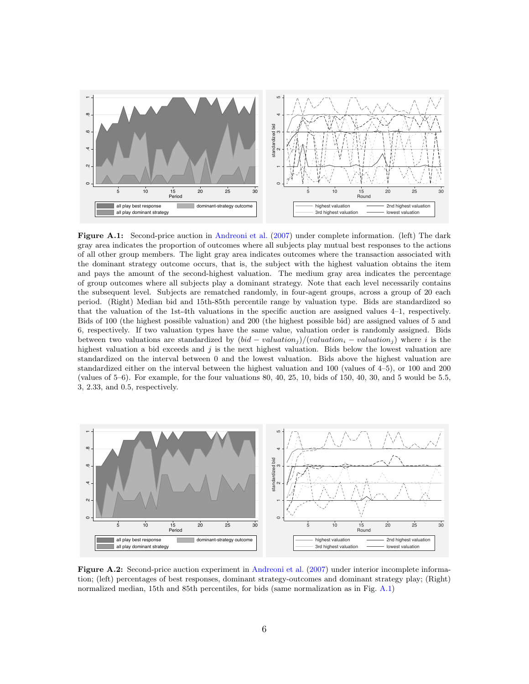<span id="page-46-0"></span>

Figure A.1: Second-price auction in [Andreoni et al.](#page-35-2) [\(2007\)](#page-35-2) under complete information. (left) The dark gray area indicates the proportion of outcomes where all subjects play mutual best responses to the actions of all other group members. The light gray area indicates outcomes where the transaction associated with the dominant strategy outcome occurs, that is, the subject with the highest valuation obtains the item and pays the amount of the second-highest valuation. The medium gray area indicates the percentage of group outcomes where all subjects play a dominant strategy. Note that each level necessarily contains the subsequent level. Subjects are rematched randomly, in four-agent groups, across a group of 20 each period. (Right) Median bid and 15th-85th percentile range by valuation type. Bids are standardized so that the valuation of the 1st-4th valuations in the specific auction are assigned values 4–1, respectively. Bids of 100 (the highest possible valuation) and 200 (the highest possible bid) are assigned values of 5 and 6, respectively. If two valuation types have the same value, valuation order is randomly assigned. Bids between two valuations are standardized by  $(bid - valuation_i)/(valuation_i - valuation_i)$  where i is the highest valuation a bid exceeds and j is the next highest valuation. Bids below the lowest valuation are standardized on the interval between 0 and the lowest valuation. Bids above the highest valuation are standardized either on the interval between the highest valuation and 100 (values of 4–5), or 100 and 200 (values of 5–6). For example, for the four valuations 80, 40, 25, 10, bids of 150, 40, 30, and 5 would be 5.5, 3, 2.33, and 0.5, respectively.

<span id="page-46-1"></span>

Figure A.2: Second-price auction experiment in [Andreoni et al.](#page-35-2) [\(2007\)](#page-35-2) under interior incomplete information; (left) percentages of best responses, dominant strategy-outcomes and dominant strategy play; (Right) normalized median, 15th and 85th percentiles, for bids (same normalization as in Fig. [A.1\)](#page-46-0)